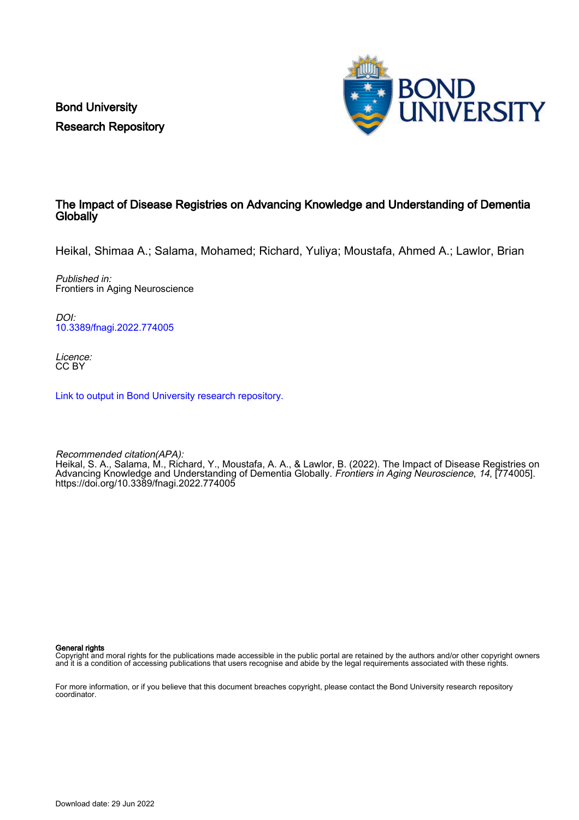Bond University Research Repository



### The Impact of Disease Registries on Advancing Knowledge and Understanding of Dementia **Globally**

Heikal, Shimaa A.; Salama, Mohamed; Richard, Yuliya; Moustafa, Ahmed A.; Lawlor, Brian

Published in: Frontiers in Aging Neuroscience

DOI: [10.3389/fnagi.2022.774005](https://doi.org/10.3389/fnagi.2022.774005)

Licence: CC BY

[Link to output in Bond University research repository.](https://research.bond.edu.au/en/publications/a4ce4428-6589-402f-a542-acc421561f68)

Recommended citation(APA): Heikal, S. A., Salama, M., Richard, Y., Moustafa, A. A., & Lawlor, B. (2022). The Impact of Disease Registries on Advancing Knowledge and Understanding of Dementia Globally. Frontiers in Aging Neuroscience, 14, [774005]. <https://doi.org/10.3389/fnagi.2022.774005>

General rights

Copyright and moral rights for the publications made accessible in the public portal are retained by the authors and/or other copyright owners and it is a condition of accessing publications that users recognise and abide by the legal requirements associated with these rights.

For more information, or if you believe that this document breaches copyright, please contact the Bond University research repository coordinator.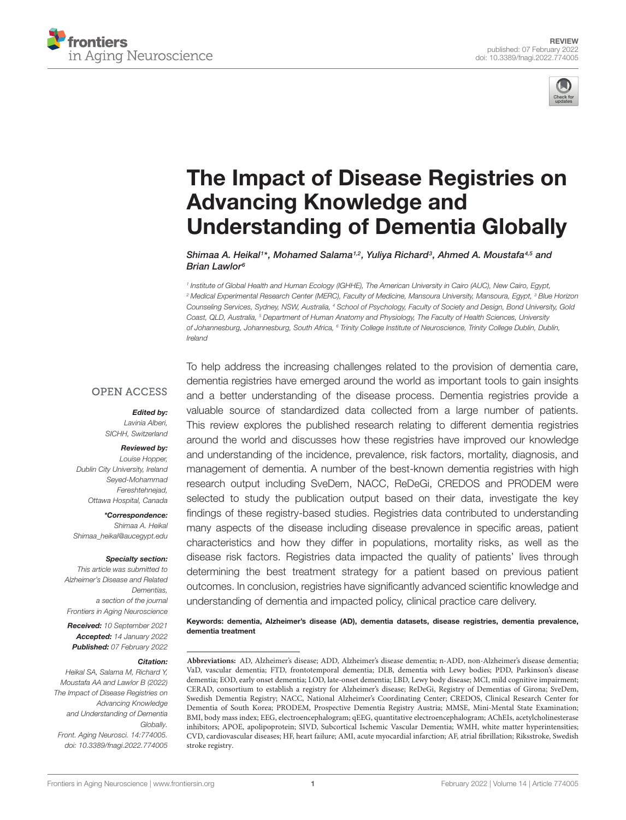



# The Impact of Disease Registries on Advancing Knowledge and [Understanding of Dementia Globally](https://www.frontiersin.org/articles/10.3389/fnagi.2022.774005/full)

Shimaa A. Heikal1\*, Mohamed Salama1<sub>'</sub>2, Yuliya Richard<sup>3</sup>, Ahmed A. Moustafa<sup>4,5</sup> and Brian Lawlor<sup>6</sup>

1 Institute of Global Health and Human Ecology (IGHHE), The American University in Cairo (AUC), New Cairo, Egypt, <sup>2</sup> Medical Experimental Research Center (MERC), Faculty of Medicine, Mansoura University, Mansoura, Egypt, <sup>3</sup> Blue Horizon Counseling Services, Sydney, NSW, Australia, <sup>4</sup> School of Psychology, Faculty of Society and Design, Bond University, Gold Coast, QLD, Australia, <sup>5</sup> Department of Human Anatomy and Physiology, The Faculty of Health Sciences, University of Johannesburg, Johannesburg, South Africa, <sup>6</sup> Trinity College Institute of Neuroscience, Trinity College Dublin, Dublin, Ireland

### **OPEN ACCESS**

### Edited by:

Lavinia Alberi, SICHH, Switzerland

### Reviewed by:

Louise Hopper, Dublin City University, Ireland Seyed-Mohammad Fereshtehnejad, Ottawa Hospital, Canada

\*Correspondence: Shimaa A. Heikal Shimaa\_heikal@aucegypt.edu

### Specialty section:

This article was submitted to Alzheimer's Disease and Related Dementias, a section of the journal Frontiers in Aging Neuroscience

Received: 10 September 2021 Accepted: 14 January 2022 Published: 07 February 2022

### Citation:

Heikal SA, Salama M, Richard Y, Moustafa AA and Lawlor B (2022) The Impact of Disease Registries on Advancing Knowledge and Understanding of Dementia Globally. Front. Aging Neurosci. 14:774005. doi: [10.3389/fnagi.2022.774005](https://doi.org/10.3389/fnagi.2022.774005)

To help address the increasing challenges related to the provision of dementia care, dementia registries have emerged around the world as important tools to gain insights and a better understanding of the disease process. Dementia registries provide a valuable source of standardized data collected from a large number of patients. This review explores the published research relating to different dementia registries around the world and discusses how these registries have improved our knowledge and understanding of the incidence, prevalence, risk factors, mortality, diagnosis, and management of dementia. A number of the best-known dementia registries with high research output including SveDem, NACC, ReDeGi, CREDOS and PRODEM were selected to study the publication output based on their data, investigate the key findings of these registry-based studies. Registries data contributed to understanding many aspects of the disease including disease prevalence in specific areas, patient characteristics and how they differ in populations, mortality risks, as well as the disease risk factors. Registries data impacted the quality of patients' lives through determining the best treatment strategy for a patient based on previous patient outcomes. In conclusion, registries have significantly advanced scientific knowledge and understanding of dementia and impacted policy, clinical practice care delivery.

Keywords: dementia, Alzheimer's disease (AD), dementia datasets, disease registries, dementia prevalence, dementia treatment

**Abbreviations:** AD, Alzheimer's disease; ADD, Alzheimer's disease dementia; n-ADD, non-Alzheimer's disease dementia; VaD, vascular dementia; FTD, frontotemporal dementia; DLB, dementia with Lewy bodies; PDD, Parkinson's disease dementia; EOD, early onset dementia; LOD, late-onset dementia; LBD, Lewy body disease; MCI, mild cognitive impairment; CERAD, consortium to establish a registry for Alzheimer's disease; ReDeGi, Registry of Dementias of Girona; SveDem, Swedish Dementia Registry; NACC, National Alzheimer's Coordinating Center; CREDOS, Clinical Research Center for Dementia of South Korea; PRODEM, Prospective Dementia Registry Austria; MMSE, Mini-Mental State Examination; BMI, body mass index; EEG, electroencephalogram; qEEG, quantitative electroencephalogram; AChEIs, acetylcholinesterase inhibitors; APOE, apolipoprotein; SIVD, Subcortical Ischemic Vascular Dementia; WMH, white matter hyperintensities; CVD, cardiovascular diseases; HF, heart failure; AMI, acute myocardial infarction; AF, atrial fibrillation; Riksstroke, Swedish stroke registry.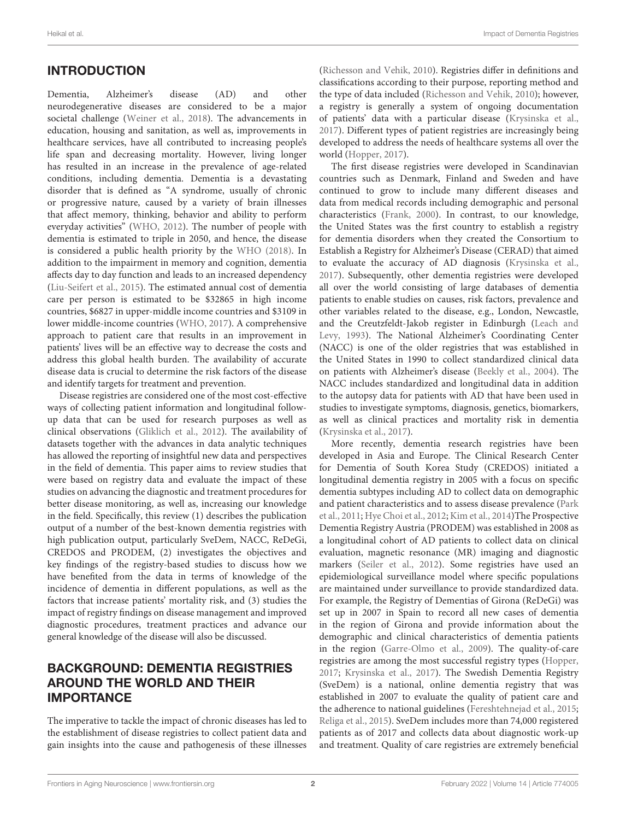## INTRODUCTION

Dementia, Alzheimer's disease (AD) and other neurodegenerative diseases are considered to be a major societal challenge [\(Weiner et al.,](#page-21-0) [2018\)](#page-21-0). The advancements in education, housing and sanitation, as well as, improvements in healthcare services, have all contributed to increasing people's life span and decreasing mortality. However, living longer has resulted in an increase in the prevalence of age-related conditions, including dementia. Dementia is a devastating disorder that is defined as "A syndrome, usually of chronic or progressive nature, caused by a variety of brain illnesses that affect memory, thinking, behavior and ability to perform everyday activities" [\(WHO,](#page-21-1) [2012\)](#page-21-1). The number of people with dementia is estimated to triple in 2050, and hence, the disease is considered a public health priority by the [WHO](#page-21-2) [\(2018\)](#page-21-2). In addition to the impairment in memory and cognition, dementia affects day to day function and leads to an increased dependency [\(Liu-Seifert et al.,](#page-19-0) [2015\)](#page-19-0). The estimated annual cost of dementia care per person is estimated to be \$32865 in high income countries, \$6827 in upper-middle income countries and \$3109 in lower middle-income countries [\(WHO,](#page-21-3) [2017\)](#page-21-3). A comprehensive approach to patient care that results in an improvement in patients' lives will be an effective way to decrease the costs and address this global health burden. The availability of accurate disease data is crucial to determine the risk factors of the disease and identify targets for treatment and prevention.

Disease registries are considered one of the most cost-effective ways of collecting patient information and longitudinal followup data that can be used for research purposes as well as clinical observations [\(Gliklich et al.,](#page-19-1) [2012\)](#page-19-1). The availability of datasets together with the advances in data analytic techniques has allowed the reporting of insightful new data and perspectives in the field of dementia. This paper aims to review studies that were based on registry data and evaluate the impact of these studies on advancing the diagnostic and treatment procedures for better disease monitoring, as well as, increasing our knowledge in the field. Specifically, this review (1) describes the publication output of a number of the best-known dementia registries with high publication output, particularly SveDem, NACC, ReDeGi, CREDOS and PRODEM, (2) investigates the objectives and key findings of the registry-based studies to discuss how we have benefited from the data in terms of knowledge of the incidence of dementia in different populations, as well as the factors that increase patients' mortality risk, and (3) studies the impact of registry findings on disease management and improved diagnostic procedures, treatment practices and advance our general knowledge of the disease will also be discussed.

## BACKGROUND: DEMENTIA REGISTRIES AROUND THE WORLD AND THEIR IMPORTANCE

The imperative to tackle the impact of chronic diseases has led to the establishment of disease registries to collect patient data and gain insights into the cause and pathogenesis of these illnesses [\(Richesson and Vehik,](#page-20-0) [2010\)](#page-20-0). Registries differ in definitions and classifications according to their purpose, reporting method and the type of data included [\(Richesson and Vehik,](#page-20-0) [2010\)](#page-20-0); however, a registry is generally a system of ongoing documentation of patients' data with a particular disease [\(Krysinska et al.,](#page-19-2) [2017\)](#page-19-2). Different types of patient registries are increasingly being developed to address the needs of healthcare systems all over the world [\(Hopper,](#page-19-3) [2017\)](#page-19-3).

The first disease registries were developed in Scandinavian countries such as Denmark, Finland and Sweden and have continued to grow to include many different diseases and data from medical records including demographic and personal characteristics [\(Frank,](#page-18-0) [2000\)](#page-18-0). In contrast, to our knowledge, the United States was the first country to establish a registry for dementia disorders when they created the Consortium to Establish a Registry for Alzheimer's Disease (CERAD) that aimed to evaluate the accuracy of AD diagnosis [\(Krysinska et al.,](#page-19-2) [2017\)](#page-19-2). Subsequently, other dementia registries were developed all over the world consisting of large databases of dementia patients to enable studies on causes, risk factors, prevalence and other variables related to the disease, e.g., London, Newcastle, and the Creutzfeldt-Jakob register in Edinburgh [\(Leach and](#page-19-4) [Levy,](#page-19-4) [1993\)](#page-19-4). The National Alzheimer's Coordinating Center (NACC) is one of the older registries that was established in the United States in 1990 to collect standardized clinical data on patients with Alzheimer's disease [\(Beekly et al.,](#page-17-0) [2004\)](#page-17-0). The NACC includes standardized and longitudinal data in addition to the autopsy data for patients with AD that have been used in studies to investigate symptoms, diagnosis, genetics, biomarkers, as well as clinical practices and mortality risk in dementia [\(Krysinska et al.,](#page-19-2) [2017\)](#page-19-2).

More recently, dementia research registries have been developed in Asia and Europe. The Clinical Research Center for Dementia of South Korea Study (CREDOS) initiated a longitudinal dementia registry in 2005 with a focus on specific dementia subtypes including AD to collect data on demographic and patient characteristics and to assess disease prevalence [\(Park](#page-19-5) [et al.,](#page-19-5) [2011;](#page-19-5) [Hye Choi et al.,](#page-19-6) [2012;](#page-19-6) [Kim et al.,](#page-19-7) [2014\)](#page-19-7)The Prospective Dementia Registry Austria (PRODEM) was established in 2008 as a longitudinal cohort of AD patients to collect data on clinical evaluation, magnetic resonance (MR) imaging and diagnostic markers [\(Seiler et al.,](#page-20-1) [2012\)](#page-20-1). Some registries have used an epidemiological surveillance model where specific populations are maintained under surveillance to provide standardized data. For example, the Registry of Dementias of Girona (ReDeGi) was set up in 2007 in Spain to record all new cases of dementia in the region of Girona and provide information about the demographic and clinical characteristics of dementia patients in the region [\(Garre-Olmo et al.,](#page-18-1) [2009\)](#page-18-1). The quality-of-care registries are among the most successful registry types [\(Hopper,](#page-19-3) [2017;](#page-19-3) [Krysinska et al.,](#page-19-2) [2017\)](#page-19-2). The Swedish Dementia Registry (SveDem) is a national, online dementia registry that was established in 2007 to evaluate the quality of patient care and the adherence to national guidelines [\(Fereshtehnejad et al.,](#page-18-2) [2015;](#page-18-2) [Religa et al.,](#page-20-2) [2015\)](#page-20-2). SveDem includes more than 74,000 registered patients as of 2017 and collects data about diagnostic work-up and treatment. Quality of care registries are extremely beneficial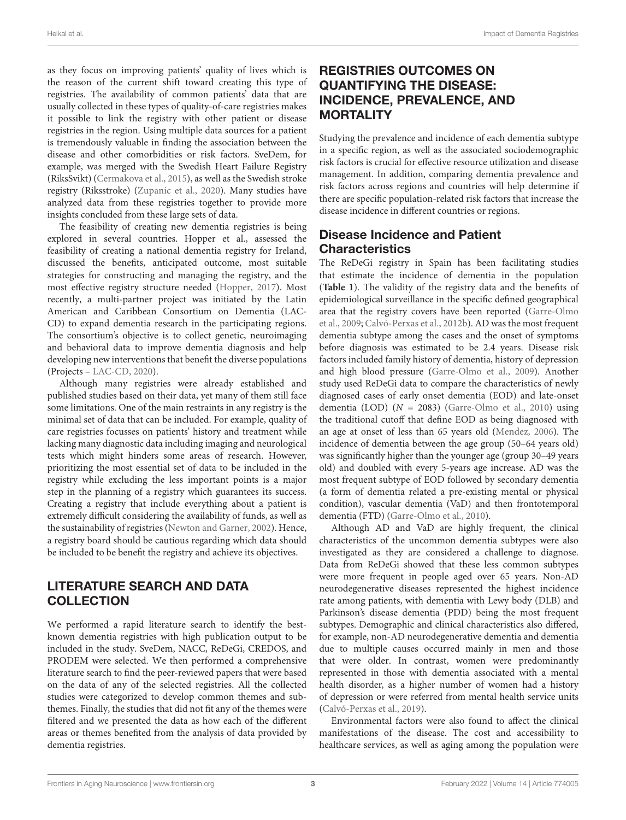as they focus on improving patients' quality of lives which is the reason of the current shift toward creating this type of registries. The availability of common patients' data that are usually collected in these types of quality-of-care registries makes it possible to link the registry with other patient or disease registries in the region. Using multiple data sources for a patient is tremendously valuable in finding the association between the disease and other comorbidities or risk factors. SveDem, for example, was merged with the Swedish Heart Failure Registry (RiksSvikt) [\(Cermakova et al.,](#page-18-3) [2015\)](#page-18-3), as well as the Swedish stroke registry (Riksstroke) [\(Zupanic et al.,](#page-21-4) [2020\)](#page-21-4). Many studies have analyzed data from these registries together to provide more insights concluded from these large sets of data.

The feasibility of creating new dementia registries is being explored in several countries. Hopper et al., assessed the feasibility of creating a national dementia registry for Ireland, discussed the benefits, anticipated outcome, most suitable strategies for constructing and managing the registry, and the most effective registry structure needed [\(Hopper,](#page-19-3) [2017\)](#page-19-3). Most recently, a multi-partner project was initiated by the Latin American and Caribbean Consortium on Dementia (LAC-CD) to expand dementia research in the participating regions. The consortium's objective is to collect genetic, neuroimaging and behavioral data to improve dementia diagnosis and help developing new interventions that benefit the diverse populations (Projects – [LAC-CD,](#page-20-3) [2020\)](#page-20-3).

Although many registries were already established and published studies based on their data, yet many of them still face some limitations. One of the main restraints in any registry is the minimal set of data that can be included. For example, quality of care registries focusses on patients' history and treatment while lacking many diagnostic data including imaging and neurological tests which might hinders some areas of research. However, prioritizing the most essential set of data to be included in the registry while excluding the less important points is a major step in the planning of a registry which guarantees its success. Creating a registry that include everything about a patient is extremely difficult considering the availability of funds, as well as the sustainability of registries [\(Newton and Garner,](#page-19-8) [2002\)](#page-19-8). Hence, a registry board should be cautious regarding which data should be included to be benefit the registry and achieve its objectives.

## LITERATURE SEARCH AND DATA **COLLECTION**

We performed a rapid literature search to identify the bestknown dementia registries with high publication output to be included in the study. SveDem, NACC, ReDeGi, CREDOS, and PRODEM were selected. We then performed a comprehensive literature search to find the peer-reviewed papers that were based on the data of any of the selected registries. All the collected studies were categorized to develop common themes and subthemes. Finally, the studies that did not fit any of the themes were filtered and we presented the data as how each of the different areas or themes benefited from the analysis of data provided by dementia registries.

## REGISTRIES OUTCOMES ON QUANTIFYING THE DISEASE: INCIDENCE, PREVALENCE, AND **MORTALITY**

Studying the prevalence and incidence of each dementia subtype in a specific region, as well as the associated sociodemographic risk factors is crucial for effective resource utilization and disease management. In addition, comparing dementia prevalence and risk factors across regions and countries will help determine if there are specific population-related risk factors that increase the disease incidence in different countries or regions.

## Disease Incidence and Patient **Characteristics**

The ReDeGi registry in Spain has been facilitating studies that estimate the incidence of dementia in the population (**[Table 1](#page-4-0)**). The validity of the registry data and the benefits of epidemiological surveillance in the specific defined geographical area that the registry covers have been reported [\(Garre-Olmo](#page-18-1) [et al.,](#page-18-1) [2009;](#page-18-1) [Calvó-Perxas et al.,](#page-18-4) [2012b\)](#page-18-4). AD was the most frequent dementia subtype among the cases and the onset of symptoms before diagnosis was estimated to be 2.4 years. Disease risk factors included family history of dementia, history of depression and high blood pressure [\(Garre-Olmo et al.,](#page-18-1) [2009\)](#page-18-1). Another study used ReDeGi data to compare the characteristics of newly diagnosed cases of early onset dementia (EOD) and late-onset dementia (LOD) ( $N = 2083$ ) [\(Garre-Olmo et al.,](#page-19-9) [2010\)](#page-19-9) using the traditional cutoff that define EOD as being diagnosed with an age at onset of less than 65 years old [\(Mendez,](#page-19-10) [2006\)](#page-19-10). The incidence of dementia between the age group (50–64 years old) was significantly higher than the younger age (group 30–49 years old) and doubled with every 5-years age increase. AD was the most frequent subtype of EOD followed by secondary dementia (a form of dementia related a pre-existing mental or physical condition), vascular dementia (VaD) and then frontotemporal dementia (FTD) [\(Garre-Olmo et al.,](#page-19-9) [2010\)](#page-19-9).

Although AD and VaD are highly frequent, the clinical characteristics of the uncommon dementia subtypes were also investigated as they are considered a challenge to diagnose. Data from ReDeGi showed that these less common subtypes were more frequent in people aged over 65 years. Non-AD neurodegenerative diseases represented the highest incidence rate among patients, with dementia with Lewy body (DLB) and Parkinson's disease dementia (PDD) being the most frequent subtypes. Demographic and clinical characteristics also differed, for example, non-AD neurodegenerative dementia and dementia due to multiple causes occurred mainly in men and those that were older. In contrast, women were predominantly represented in those with dementia associated with a mental health disorder, as a higher number of women had a history of depression or were referred from mental health service units [\(Calvó-Perxas et al.,](#page-17-1) [2019\)](#page-17-1).

Environmental factors were also found to affect the clinical manifestations of the disease. The cost and accessibility to healthcare services, as well as aging among the population were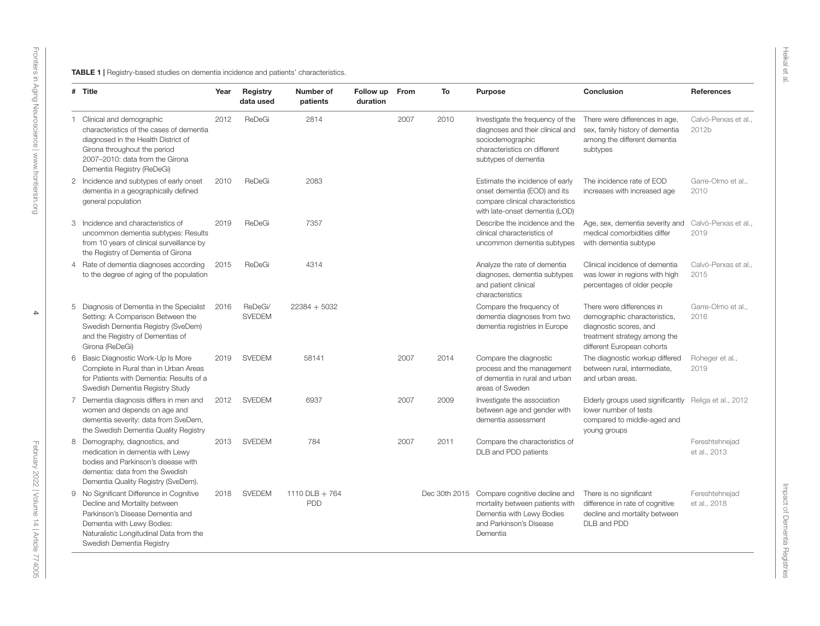<span id="page-4-0"></span>

| # Title                                                                                                                                                                                                             | Year | Registry<br>data used    | Number of<br>patients        | Follow up<br>duration | From | To   | <b>Purpose</b>                                                                                                                                     | Conclusion                                                                                                                                        | <b>References</b>              |
|---------------------------------------------------------------------------------------------------------------------------------------------------------------------------------------------------------------------|------|--------------------------|------------------------------|-----------------------|------|------|----------------------------------------------------------------------------------------------------------------------------------------------------|---------------------------------------------------------------------------------------------------------------------------------------------------|--------------------------------|
| 1 Clinical and demographic<br>characteristics of the cases of dementia<br>diagnosed in the Health District of<br>Girona throughout the period<br>2007-2010: data from the Girona<br>Dementia Registry (ReDeGi)      | 2012 | ReDeGi                   | 2814                         |                       | 2007 | 2010 | Investigate the frequency of the<br>diagnoses and their clinical and<br>sociodemographic<br>characteristics on different<br>subtypes of dementia   | There were differences in age,<br>sex, family history of dementia<br>among the different dementia<br>subtypes                                     | Calvó-Perxas et al.,<br>2012b  |
| 2 Incidence and subtypes of early onset<br>dementia in a geographically defined<br>general population                                                                                                               | 2010 | ReDeGi                   | 2083                         |                       |      |      | Estimate the incidence of early<br>onset dementia (EOD) and its<br>compare clinical characteristics<br>with late-onset dementia (LOD)              | The incidence rate of EOD<br>increases with increased age                                                                                         | Garre-Olmo et al<br>2010       |
| 3 Incidence and characteristics of<br>uncommon dementia subtypes: Results<br>from 10 years of clinical surveillance by<br>the Registry of Dementia of Girona                                                        | 2019 | ReDeGi                   | 7357                         |                       |      |      | Describe the incidence and the<br>clinical characteristics of<br>uncommon dementia subtypes                                                        | Age, sex, dementia severity and<br>medical comorbidities differ<br>with dementia subtype                                                          | Calvó-Perxas et al<br>2019     |
| 4 Rate of dementia diagnoses according<br>to the degree of aging of the population                                                                                                                                  | 2015 | ReDeGi                   | 4314                         |                       |      |      | Analyze the rate of dementia<br>diagnoses, dementia subtypes<br>and patient clinical<br>characteristics                                            | Clinical incidence of dementia<br>was lower in regions with high<br>percentages of older people                                                   | Calvó-Perxas et al.,<br>2015   |
| 5 Diagnosis of Dementia in the Specialist<br>Setting: A Comparison Between the<br>Swedish Dementia Registry (SveDem)<br>and the Registry of Dementias of<br>Girona (ReDeGi)                                         | 2016 | ReDeGi/<br><b>SVEDEM</b> | $22384 + 5032$               |                       |      |      | Compare the frequency of<br>dementia diagnoses from two<br>dementia registries in Europe                                                           | There were differences in<br>demographic characteristics,<br>diagnostic scores, and<br>treatment strategy among the<br>different European cohorts | Garre-Olmo et al<br>2016       |
| 6 Basic Diagnostic Work-Up Is More<br>Complete in Rural than in Urban Areas<br>for Patients with Dementia: Results of a<br>Swedish Dementia Registry Study                                                          | 2019 | <b>SVEDEM</b>            | 58141                        |                       | 2007 | 2014 | Compare the diagnostic<br>process and the management<br>of dementia in rural and urban<br>areas of Sweden                                          | The diagnostic workup differed<br>between rural, intermediate,<br>and urban areas.                                                                | Roheger et al.,<br>2019        |
| 7 Dementia diagnosis differs in men and<br>women and depends on age and<br>dementia severity: data from SveDem,<br>the Swedish Dementia Quality Registry                                                            | 2012 | <b>SVEDEM</b>            | 6937                         |                       | 2007 | 2009 | Investigate the association<br>between age and gender with<br>dementia assessment                                                                  | Elderly groups used significantly<br>lower number of tests<br>compared to middle-aged and<br>young groups                                         | Religa et al., 2012            |
| 8 Demography, diagnostics, and<br>medication in dementia with Lewy<br>bodies and Parkinson's disease with<br>dementia: data from the Swedish<br>Dementia Quality Registry (SveDem).                                 | 2013 | <b>SVEDEM</b>            | 784                          |                       | 2007 | 2011 | Compare the characteristics of<br>DLB and PDD patients                                                                                             |                                                                                                                                                   | Fereshtehnejad<br>et al., 2013 |
| 9 No Significant Difference in Cognitive<br>Decline and Mortality between<br>Parkinson's Disease Dementia and<br>Dementia with Lewy Bodies:<br>Naturalistic Longitudinal Data from the<br>Swedish Dementia Registry | 2018 | <b>SVEDEM</b>            | 1110 DLB + 764<br><b>PDD</b> |                       |      |      | Dec 30th 2015 Compare cognitive decline and<br>mortality between patients with<br>Dementia with Lewy Bodies<br>and Parkinson's Disease<br>Dementia | There is no significant<br>difference in rate of cognitive<br>decline and mortality between<br>DLB and PDD                                        | Fereshtehnejad<br>et al., 2018 |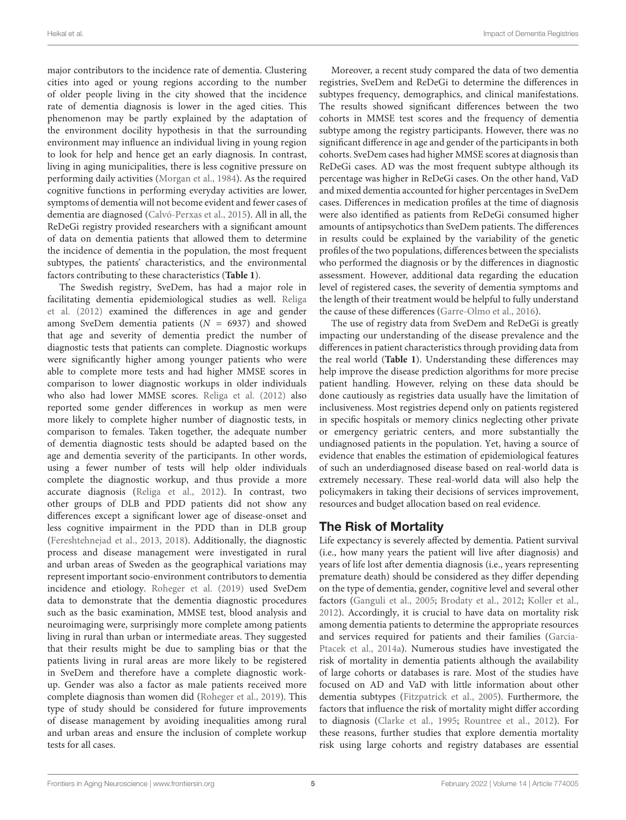major contributors to the incidence rate of dementia. Clustering cities into aged or young regions according to the number of older people living in the city showed that the incidence rate of dementia diagnosis is lower in the aged cities. This phenomenon may be partly explained by the adaptation of the environment docility hypothesis in that the surrounding environment may influence an individual living in young region to look for help and hence get an early diagnosis. In contrast, living in aging municipalities, there is less cognitive pressure on performing daily activities [\(Morgan et al.,](#page-19-12) [1984\)](#page-19-12). As the required cognitive functions in performing everyday activities are lower, symptoms of dementia will not become evident and fewer cases of dementia are diagnosed [\(Calvó-Perxas et al.,](#page-17-4) [2015\)](#page-17-4). All in all, the ReDeGi registry provided researchers with a significant amount of data on dementia patients that allowed them to determine the incidence of dementia in the population, the most frequent subtypes, the patients' characteristics, and the environmental factors contributing to these characteristics (**[Table 1](#page-4-0)**).

The Swedish registry, SveDem, has had a major role in facilitating dementia epidemiological studies as well. [Religa](#page-20-6) [et al.](#page-20-6) [\(2012\)](#page-20-6) examined the differences in age and gender among SveDem dementia patients ( $N = 6937$ ) and showed that age and severity of dementia predict the number of diagnostic tests that patients can complete. Diagnostic workups were significantly higher among younger patients who were able to complete more tests and had higher MMSE scores in comparison to lower diagnostic workups in older individuals who also had lower MMSE scores. [Religa et al.](#page-20-6) [\(2012\)](#page-20-6) also reported some gender differences in workup as men were more likely to complete higher number of diagnostic tests, in comparison to females. Taken together, the adequate number of dementia diagnostic tests should be adapted based on the age and dementia severity of the participants. In other words, using a fewer number of tests will help older individuals complete the diagnostic workup, and thus provide a more accurate diagnosis [\(Religa et al.,](#page-20-6) [2012\)](#page-20-6). In contrast, two other groups of DLB and PDD patients did not show any differences except a significant lower age of disease-onset and less cognitive impairment in the PDD than in DLB group [\(Fereshtehnejad et al.,](#page-18-9) [2013,](#page-18-9) [2018\)](#page-18-10). Additionally, the diagnostic process and disease management were investigated in rural and urban areas of Sweden as the geographical variations may represent important socio-environment contributors to dementia incidence and etiology. [Roheger et al.](#page-20-7) [\(2019\)](#page-20-7) used SveDem data to demonstrate that the dementia diagnostic procedures such as the basic examination, MMSE test, blood analysis and neuroimaging were, surprisingly more complete among patients living in rural than urban or intermediate areas. They suggested that their results might be due to sampling bias or that the patients living in rural areas are more likely to be registered in SveDem and therefore have a complete diagnostic workup. Gender was also a factor as male patients received more complete diagnosis than women did [\(Roheger et al.,](#page-20-7) [2019\)](#page-20-7). This type of study should be considered for future improvements of disease management by avoiding inequalities among rural and urban areas and ensure the inclusion of complete workup tests for all cases.

Moreover, a recent study compared the data of two dementia registries, SveDem and ReDeGi to determine the differences in subtypes frequency, demographics, and clinical manifestations. The results showed significant differences between the two cohorts in MMSE test scores and the frequency of dementia subtype among the registry participants. However, there was no significant difference in age and gender of the participants in both cohorts. SveDem cases had higher MMSE scores at diagnosis than ReDeGi cases. AD was the most frequent subtype although its percentage was higher in ReDeGi cases. On the other hand, VaD and mixed dementia accounted for higher percentages in SveDem cases. Differences in medication profiles at the time of diagnosis were also identified as patients from ReDeGi consumed higher amounts of antipsychotics than SveDem patients. The differences in results could be explained by the variability of the genetic profiles of the two populations, differences between the specialists who performed the diagnosis or by the differences in diagnostic assessment. However, additional data regarding the education level of registered cases, the severity of dementia symptoms and the length of their treatment would be helpful to fully understand the cause of these differences [\(Garre-Olmo et al.,](#page-18-11) [2016\)](#page-18-11).

The use of registry data from SveDem and ReDeGi is greatly impacting our understanding of the disease prevalence and the differences in patient characteristics through providing data from the real world (**[Table 1](#page-4-0)**). Understanding these differences may help improve the disease prediction algorithms for more precise patient handling. However, relying on these data should be done cautiously as registries data usually have the limitation of inclusiveness. Most registries depend only on patients registered in specific hospitals or memory clinics neglecting other private or emergency geriatric centers, and more substantially the undiagnosed patients in the population. Yet, having a source of evidence that enables the estimation of epidemiological features of such an underdiagnosed disease based on real-world data is extremely necessary. These real-world data will also help the policymakers in taking their decisions of services improvement, resources and budget allocation based on real evidence.

## The Risk of Mortality

Life expectancy is severely affected by dementia. Patient survival (i.e., how many years the patient will live after diagnosis) and years of life lost after dementia diagnosis (i.e., years representing premature death) should be considered as they differ depending on the type of dementia, gender, cognitive level and several other factors [\(Ganguli et al.,](#page-18-12) [2005;](#page-18-12) [Brodaty et al.,](#page-17-5) [2012;](#page-17-5) [Koller et al.,](#page-19-13) [2012\)](#page-19-13). Accordingly, it is crucial to have data on mortality risk among dementia patients to determine the appropriate resources and services required for patients and their families [\(Garcia-](#page-18-13)[Ptacek et al.,](#page-18-13) [2014a\)](#page-18-13). Numerous studies have investigated the risk of mortality in dementia patients although the availability of large cohorts or databases is rare. Most of the studies have focused on AD and VaD with little information about other dementia subtypes [\(Fitzpatrick et al.,](#page-18-14) [2005\)](#page-18-14). Furthermore, the factors that influence the risk of mortality might differ according to diagnosis [\(Clarke et al.,](#page-18-15) [1995;](#page-18-15) [Rountree et al.,](#page-20-8) [2012\)](#page-20-8). For these reasons, further studies that explore dementia mortality risk using large cohorts and registry databases are essential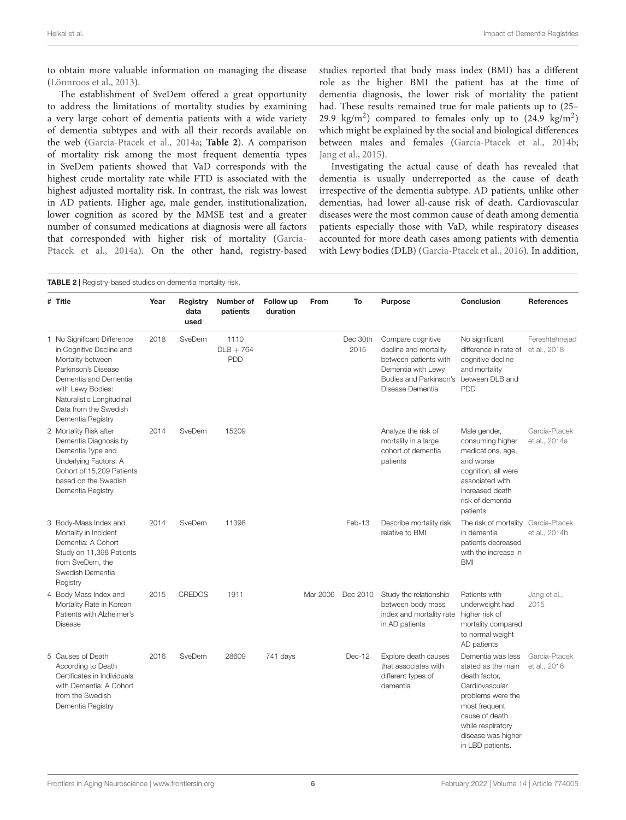to obtain more valuable information on managing the disease [\(Lönnroos et al.,](#page-19-14) [2013\)](#page-19-14).

The establishment of SveDem offered a great opportunity to address the limitations of mortality studies by examining a very large cohort of dementia patients with a wide variety of dementia subtypes and with all their records available on the web [\(Garcia-Ptacek et al.,](#page-18-13) [2014a;](#page-18-13) **[Table 2](#page-6-0)**). A comparison of mortality risk among the most frequent dementia types in SveDem patients showed that VaD corresponds with the highest crude mortality rate while FTD is associated with the highest adjusted mortality risk. In contrast, the risk was lowest in AD patients. Higher age, male gender, institutionalization, lower cognition as scored by the MMSE test and a greater number of consumed medications at diagnosis were all factors that corresponded with higher risk of mortality [\(Garcia-](#page-18-13)[Ptacek et al.,](#page-18-13) [2014a\)](#page-18-13). On the other hand, registry-based

studies reported that body mass index (BMI) has a different role as the higher BMI the patient has at the time of dementia diagnosis, the lower risk of mortality the patient had. These results remained true for male patients up to (25– 29.9 kg/m<sup>2</sup>) compared to females only up to  $(24.9 \text{ kg/m}^2)$ which might be explained by the social and biological differences between males and females [\(García-Ptacek et al.,](#page-18-16) [2014b;](#page-18-16) [Jang et al.,](#page-19-15) [2015\)](#page-19-15).

Investigating the actual cause of death has revealed that dementia is usually underreported as the cause of death irrespective of the dementia subtype. AD patients, unlike other dementias, had lower all-cause risk of death. Cardiovascular diseases were the most common cause of death among dementia patients especially those with VaD, while respiratory diseases accounted for more death cases among patients with dementia with Lewy bodies (DLB) [\(Garcia-Ptacek et al.,](#page-18-17) [2016\)](#page-18-17). In addition,

<span id="page-6-0"></span>

| <b>TABLE 2</b>   Registry-based studies on dementia mortality risk.                                                                                                                                                          |      |                          |                                   |                       |          |                  |                                                                                                                                         |                                                                                                                                                                                                   |                                |
|------------------------------------------------------------------------------------------------------------------------------------------------------------------------------------------------------------------------------|------|--------------------------|-----------------------------------|-----------------------|----------|------------------|-----------------------------------------------------------------------------------------------------------------------------------------|---------------------------------------------------------------------------------------------------------------------------------------------------------------------------------------------------|--------------------------------|
| # Title                                                                                                                                                                                                                      | Year | Registry<br>data<br>used | Number of<br>patients             | Follow up<br>duration | From     | To               | <b>Purpose</b>                                                                                                                          | <b>Conclusion</b>                                                                                                                                                                                 | <b>References</b>              |
| 1 No Significant Difference<br>in Cognitive Decline and<br>Mortality between<br>Parkinson's Disease<br>Dementia and Dementia<br>with Lewy Bodies:<br>Naturalistic Longitudinal<br>Data from the Swedish<br>Dementia Registry | 2018 | SveDem                   | 1110<br>$DLB + 764$<br><b>PDD</b> |                       |          | Dec 30th<br>2015 | Compare cognitive<br>decline and mortality<br>between patients with<br>Dementia with Lewy<br>Bodies and Parkinson's<br>Disease Dementia | No significant<br>difference in rate of<br>cognitive decline<br>and mortality<br>between DLB and<br><b>PDD</b>                                                                                    | Fereshtehnejad<br>et al., 2018 |
| 2 Mortality Risk after<br>Dementia Diagnosis by<br>Dementia Type and<br>Underlying Factors: A<br>Cohort of 15,209 Patients<br>based on the Swedish<br>Dementia Registry                                                      | 2014 | SveDem                   | 15209                             |                       |          |                  | Analyze the risk of<br>mortality in a large<br>cohort of dementia<br>patients                                                           | Male gender,<br>consuming higher<br>medications, age,<br>and worse<br>cognition, all were<br>associated with<br>increased death<br>risk of dementia<br>patients                                   | Garcia-Ptacek<br>et al., 2014a |
| 3 Body-Mass Index and<br>Mortality in Incident<br>Dementia: A Cohort<br>Study on 11,398 Patients<br>from SveDem, the<br>Swedish Dementia<br>Registry                                                                         | 2014 | SveDem                   | 11398                             |                       |          | Feb-13           | Describe mortality risk<br>relative to BMI                                                                                              | The risk of mortality<br>in dementia<br>patients decreased<br>with the increase in<br><b>BMI</b>                                                                                                  | García-Ptacek<br>et al., 2014b |
| 4 Body Mass Index and<br>Mortality Rate in Korean<br>Patients with Alzheimer's<br><b>Disease</b>                                                                                                                             | 2015 | <b>CREDOS</b>            | 1911                              |                       | Mar 2006 | Dec 2010         | Study the relationship<br>between body mass<br>index and mortality rate<br>in AD patients                                               | Patients with<br>underweight had<br>higher risk of<br>mortality compared<br>to normal weight<br>AD patients                                                                                       | Jang et al.,<br>2015           |
| 5 Causes of Death<br>According to Death<br>Certificates in Individuals<br>with Dementia: A Cohort<br>from the Swedish<br>Dementia Registry                                                                                   | 2016 | SveDem                   | 28609                             | 741 days              |          | Dec-12           | Explore death causes<br>that associates with<br>different types of<br>dementia                                                          | Dementia was less<br>stated as the main<br>death factor,<br>Cardiovascular<br>problems were the<br>most frequent<br>cause of death<br>while respiratory<br>disease was higher<br>in LBD patients. | Garcia-Ptacek<br>et al., 2016  |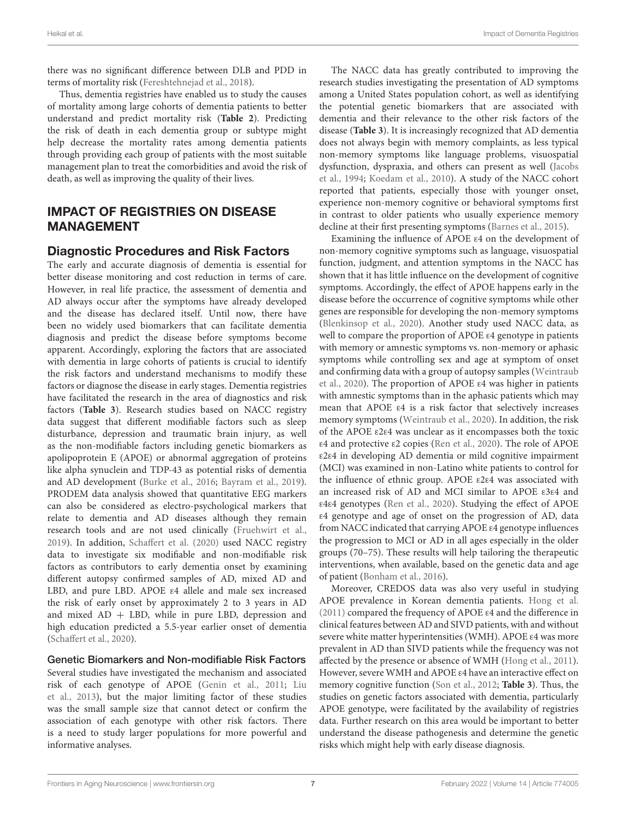there was no significant difference between DLB and PDD in terms of mortality risk [\(Fereshtehnejad et al.,](#page-18-10) [2018\)](#page-18-10).

Thus, dementia registries have enabled us to study the causes of mortality among large cohorts of dementia patients to better understand and predict mortality risk (**[Table 2](#page-6-0)**). Predicting the risk of death in each dementia group or subtype might help decrease the mortality rates among dementia patients through providing each group of patients with the most suitable management plan to treat the comorbidities and avoid the risk of death, as well as improving the quality of their lives.

## IMPACT OF REGISTRIES ON DISEASE MANAGEMENT

### Diagnostic Procedures and Risk Factors

The early and accurate diagnosis of dementia is essential for better disease monitoring and cost reduction in terms of care. However, in real life practice, the assessment of dementia and AD always occur after the symptoms have already developed and the disease has declared itself. Until now, there have been no widely used biomarkers that can facilitate dementia diagnosis and predict the disease before symptoms become apparent. Accordingly, exploring the factors that are associated with dementia in large cohorts of patients is crucial to identify the risk factors and understand mechanisms to modify these factors or diagnose the disease in early stages. Dementia registries have facilitated the research in the area of diagnostics and risk factors (**[Table 3](#page-8-0)**). Research studies based on NACC registry data suggest that different modifiable factors such as sleep disturbance, depression and traumatic brain injury, as well as the non-modifiable factors including genetic biomarkers as apolipoprotein E (APOE) or abnormal aggregation of proteins like alpha synuclein and TDP-43 as potential risks of dementia and AD development [\(Burke et al.,](#page-17-6) [2016;](#page-17-6) [Bayram et al.,](#page-17-7) [2019\)](#page-17-7). PRODEM data analysis showed that quantitative EEG markers can also be considered as electro-psychological markers that relate to dementia and AD diseases although they remain research tools and are not used clinically [\(Fruehwirt et al.,](#page-18-18) [2019\)](#page-18-18). In addition, [Schaffert et al.](#page-20-9) [\(2020\)](#page-20-9) used NACC registry data to investigate six modifiable and non-modifiable risk factors as contributors to early dementia onset by examining different autopsy confirmed samples of AD, mixed AD and LBD, and pure LBD. APOE ε4 allele and male sex increased the risk of early onset by approximately 2 to 3 years in AD and mixed  $AD + LBD$ , while in pure LBD, depression and high education predicted a 5.5-year earlier onset of dementia [\(Schaffert et al.,](#page-20-9) [2020\)](#page-20-9).

Genetic Biomarkers and Non-modifiable Risk Factors Several studies have investigated the mechanism and associated risk of each genotype of APOE [\(Genin et al.,](#page-19-16) [2011;](#page-19-16) [Liu](#page-19-17) [et al.,](#page-19-17) [2013\)](#page-19-17), but the major limiting factor of these studies was the small sample size that cannot detect or confirm the association of each genotype with other risk factors. There is a need to study larger populations for more powerful and informative analyses.

The NACC data has greatly contributed to improving the research studies investigating the presentation of AD symptoms among a United States population cohort, as well as identifying the potential genetic biomarkers that are associated with dementia and their relevance to the other risk factors of the disease (**[Table 3](#page-8-0)**). It is increasingly recognized that AD dementia does not always begin with memory complaints, as less typical non-memory symptoms like language problems, visuospatial dysfunction, dyspraxia, and others can present as well [\(Jacobs](#page-19-18) [et al.,](#page-19-18) [1994;](#page-19-18) [Koedam et al.,](#page-19-19) [2010\)](#page-19-19). A study of the NACC cohort reported that patients, especially those with younger onset, experience non-memory cognitive or behavioral symptoms first in contrast to older patients who usually experience memory decline at their first presenting symptoms [\(Barnes et al.,](#page-17-8) [2015\)](#page-17-8).

Examining the influence of APOE ε4 on the development of non-memory cognitive symptoms such as language, visuospatial function, judgment, and attention symptoms in the NACC has shown that it has little influence on the development of cognitive symptoms. Accordingly, the effect of APOE happens early in the disease before the occurrence of cognitive symptoms while other genes are responsible for developing the non-memory symptoms [\(Blenkinsop et al.,](#page-17-9) [2020\)](#page-17-9). Another study used NACC data, as well to compare the proportion of APOE ε4 genotype in patients with memory or amnestic symptoms vs. non-memory or aphasic symptoms while controlling sex and age at symptom of onset and confirming data with a group of autopsy samples [\(Weintraub](#page-21-5) [et al.,](#page-21-5) [2020\)](#page-21-5). The proportion of APOE ε4 was higher in patients with amnestic symptoms than in the aphasic patients which may mean that APOE ε4 is a risk factor that selectively increases memory symptoms [\(Weintraub et al.,](#page-21-5) [2020\)](#page-21-5). In addition, the risk of the APOE ε2ε4 was unclear as it encompasses both the toxic ε4 and protective ε2 copies [\(Ren et al.,](#page-20-10) [2020\)](#page-20-10). The role of APOE ε2ε4 in developing AD dementia or mild cognitive impairment (MCI) was examined in non-Latino white patients to control for the influence of ethnic group. APOE ε2ε4 was associated with an increased risk of AD and MCI similar to APOE ε3ε4 and ε4ε4 genotypes [\(Ren et al.,](#page-20-10) [2020\)](#page-20-10). Studying the effect of APOE ε4 genotype and age of onset on the progression of AD, data from NACC indicated that carrying APOE ε4 genotype influences the progression to MCI or AD in all ages especially in the older groups (70–75). These results will help tailoring the therapeutic interventions, when available, based on the genetic data and age of patient [\(Bonham et al.,](#page-17-10) [2016\)](#page-17-10).

Moreover, CREDOS data was also very useful in studying APOE prevalence in Korean dementia patients. [Hong et al.](#page-19-20) [\(2011\)](#page-19-20) compared the frequency of APOE ε4 and the difference in clinical features between AD and SIVD patients, with and without severe white matter hyperintensities (WMH). APOE ε4 was more prevalent in AD than SIVD patients while the frequency was not affected by the presence or absence of WMH [\(Hong et al.,](#page-19-20) [2011\)](#page-19-20). However, severe WMH and APOE ε4 have an interactive effect on memory cognitive function [\(Son et al.,](#page-20-11) [2012;](#page-20-11) **[Table 3](#page-8-0)**). Thus, the studies on genetic factors associated with dementia, particularly APOE genotype, were facilitated by the availability of registries data. Further research on this area would be important to better understand the disease pathogenesis and determine the genetic risks which might help with early disease diagnosis.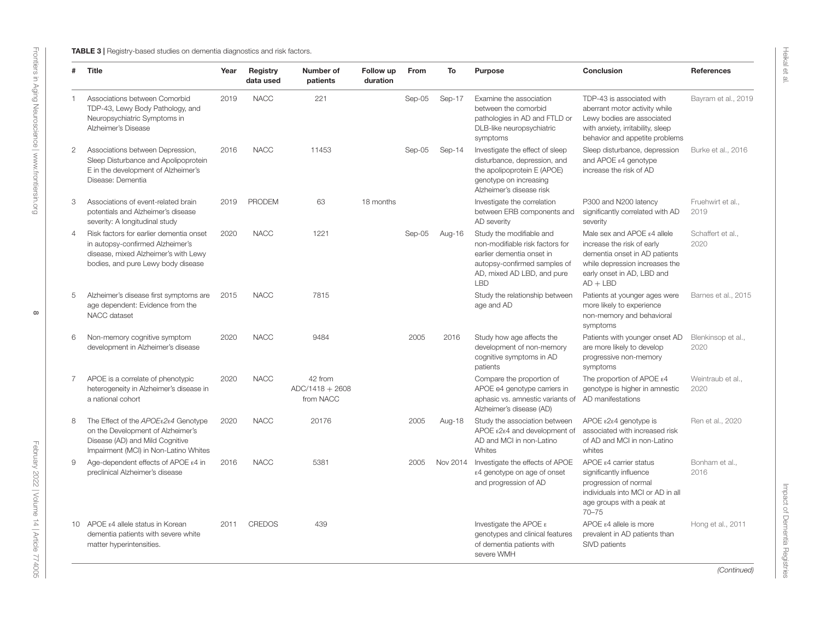<span id="page-8-0"></span>

| #              | Title                                                                                                                                                     | Year | Registry<br>data used | Number of<br>patients                     | Follow up<br>duration | From   | To       | Purpose                                                                                                                                                              | Conclusion                                                                                                                                                               | <b>References</b>          |
|----------------|-----------------------------------------------------------------------------------------------------------------------------------------------------------|------|-----------------------|-------------------------------------------|-----------------------|--------|----------|----------------------------------------------------------------------------------------------------------------------------------------------------------------------|--------------------------------------------------------------------------------------------------------------------------------------------------------------------------|----------------------------|
|                | Associations between Comorbid<br>TDP-43, Lewy Body Pathology, and<br>Neuropsychiatric Symptoms in<br>Alzheimer's Disease                                  | 2019 | <b>NACC</b>           | 221                                       |                       | Sep-05 | Sep-17   | Examine the association<br>between the comorbid<br>pathologies in AD and FTLD or<br>DLB-like neuropsychiatric<br>symptoms                                            | TDP-43 is associated with<br>aberrant motor activity while<br>Lewy bodies are associated<br>with anxiety, irritability, sleep<br>behavior and appetite problems          | Bayram et al., 2019        |
| $\overline{2}$ | Associations between Depression,<br>Sleep Disturbance and Apolipoprotein<br>E in the development of Alzheimer's<br>Disease: Dementia                      | 2016 | <b>NACC</b>           | 11453                                     |                       | Sep-05 | Sep-14   | Investigate the effect of sleep<br>disturbance, depression, and<br>the apolipoprotein E (APOE)<br>genotype on increasing<br>Alzheimer's disease risk                 | Sleep disturbance, depression<br>and APOE $\varepsilon$ 4 genotype<br>increase the risk of AD                                                                            | Burke et al., 2016         |
| 3              | Associations of event-related brain<br>potentials and Alzheimer's disease<br>severity: A longitudinal study                                               | 2019 | <b>PRODEM</b>         | 63                                        | 18 months             |        |          | Investigate the correlation<br>between ERB components and<br>AD severity                                                                                             | P300 and N200 latency<br>significantly correlated with AD<br>severity                                                                                                    | Fruehwirt et al<br>2019    |
| $\overline{4}$ | Risk factors for earlier dementia onset<br>in autopsy-confirmed Alzheimer's<br>disease, mixed Alzheimer's with Lewy<br>bodies, and pure Lewy body disease | 2020 | <b>NACC</b>           | 1221                                      |                       | Sep-05 | Aug-16   | Study the modifiable and<br>non-modifiable risk factors for<br>earlier dementia onset in<br>autopsy-confirmed samples of<br>AD, mixed AD LBD, and pure<br><b>LBD</b> | Male sex and APOE ε4 allele<br>increase the risk of early<br>dementia onset in AD patients<br>while depression increases the<br>early onset in AD, LBD and<br>$AD + LBD$ | Schaffert et al.,<br>2020  |
| 5              | Alzheimer's disease first symptoms are<br>age dependent: Evidence from the<br>NACC dataset                                                                | 2015 | <b>NACC</b>           | 7815                                      |                       |        |          | Study the relationship between<br>age and AD                                                                                                                         | Patients at younger ages were<br>more likely to experience<br>non-memory and behavioral<br>symptoms                                                                      | Barnes et al., 2015        |
| 6              | Non-memory cognitive symptom<br>development in Alzheimer's disease                                                                                        | 2020 | <b>NACC</b>           | 9484                                      |                       | 2005   | 2016     | Study how age affects the<br>development of non-memory<br>cognitive symptoms in AD<br>patients                                                                       | Patients with younger onset AD<br>are more likely to develop<br>progressive non-memory<br>symptoms                                                                       | Blenkinsop et al.,<br>2020 |
| $\overline{7}$ | APOE is a correlate of phenotypic<br>heterogeneity in Alzheimer's disease in<br>a national cohort                                                         | 2020 | <b>NACC</b>           | 42 from<br>$ADC/1418 + 2608$<br>from NACC |                       |        |          | Compare the proportion of<br>APOE e4 genotype carriers in<br>aphasic vs. amnestic variants of<br>Alzheimer's disease (AD)                                            | The proportion of APOE $\varepsilon$ 4<br>genotype is higher in amnestic<br>AD manifestations                                                                            | Weintraub et al<br>2020    |
| 8              | The Effect of the APOEε2ε4 Genotype<br>on the Development of Alzheimer's<br>Disease (AD) and Mild Cognitive<br>Impairment (MCI) in Non-Latino Whites      | 2020 | <b>NACC</b>           | 20176                                     |                       | 2005   | Aug-18   | Study the association between<br>APOE $\epsilon$ 2 $\epsilon$ 4 and development of<br>AD and MCI in non-Latino<br>Whites                                             | APOE ε2ε4 genotype is<br>associated with increased risk<br>of AD and MCI in non-Latino<br>whites                                                                         | Ren et al., 2020           |
| 9              | Age-dependent effects of APOE ε4 in<br>preclinical Alzheimer's disease                                                                                    | 2016 | <b>NACC</b>           | 5381                                      |                       | 2005   | Nov 2014 | Investigate the effects of APOE<br>ε4 genotype on age of onset<br>and progression of AD                                                                              | APOE $\epsilon$ 4 carrier status<br>significantly influence<br>progression of normal<br>individuals into MCI or AD in all<br>age groups with a peak at<br>$70 - 75$      | Bonham et al<br>2016       |
|                | 10 APOE ε4 allele status in Korean<br>dementia patients with severe white<br>matter hyperintensities.                                                     | 2011 | <b>CREDOS</b>         | 439                                       |                       |        |          | Investigate the APOE $\epsilon$<br>genotypes and clinical features<br>of dementia patients with<br>severe WMH                                                        | $APOE$ $\varepsilon$ 4 allele is more<br>prevalent in AD patients than<br>SIVD patients                                                                                  | Hong et al., 2011          |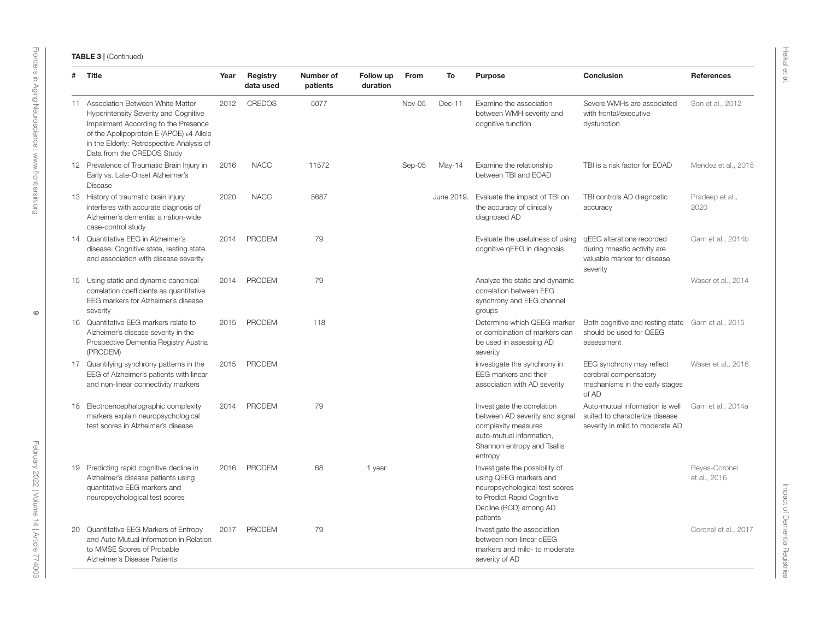| #  | Title                                                                                                                                                                                                                                       | Year | Registry<br>data used | Number of<br>patients | Follow up<br>duration | From   | To         | <b>Purpose</b>                                                                                                                                                 | Conclusion                                                                                           | <b>References</b>             |
|----|---------------------------------------------------------------------------------------------------------------------------------------------------------------------------------------------------------------------------------------------|------|-----------------------|-----------------------|-----------------------|--------|------------|----------------------------------------------------------------------------------------------------------------------------------------------------------------|------------------------------------------------------------------------------------------------------|-------------------------------|
|    | 11 Association Between White Matter<br>Hyperintensity Severity and Cognitive<br>Impairment According to the Presence<br>of the Apolipoprotein E (APOE) ε4 Allele<br>in the Elderly: Retrospective Analysis of<br>Data from the CREDOS Study | 2012 | <b>CREDOS</b>         | 5077                  |                       | Nov-05 | Dec-11     | Examine the association<br>between WMH severity and<br>cognitive function                                                                                      | Severe WMHs are associated<br>with frontal/executive<br>dysfunction                                  | Son et al., 2012              |
|    | 12 Prevalence of Traumatic Brain Injury in<br>Early vs. Late-Onset Alzheimer's<br><b>Disease</b>                                                                                                                                            | 2016 | <b>NACC</b>           | 11572                 |                       | Sep-05 | May-14     | Examine the relationship<br>between TBI and EOAD                                                                                                               | TBI is a risk factor for EOAD                                                                        | Mendez et al., 2015           |
|    | 13 History of traumatic brain injury<br>interferes with accurate diagnosis of<br>Alzheimer's dementia: a nation-wide<br>case-control study                                                                                                  | 2020 | <b>NACC</b>           | 5687                  |                       |        | June 2019. | Evaluate the impact of TBI on<br>the accuracy of clinically<br>diagnosed AD                                                                                    | TBI controls AD diagnostic<br>accuracy                                                               | Pradeep et al.,<br>2020       |
|    | 14 Quantitative EEG in Alzheimer's<br>disease: Cognitive state, resting state<br>and association with disease severity                                                                                                                      | 2014 | PRODEM                | 79                    |                       |        |            | Evaluate the usefulness of using<br>cognitive qEEG in diagnosis                                                                                                | gEEG alterations recorded<br>during mnestic activity are<br>valuable marker for disease<br>severity  | Garn et al., 2014b            |
|    | 15 Using static and dynamic canonical<br>correlation coefficients as quantitative<br>EEG markers for Alzheimer's disease<br>severity                                                                                                        | 2014 | <b>PRODEM</b>         | 79                    |                       |        |            | Analyze the static and dynamic<br>correlation between EEG<br>synchrony and EEG channel<br>groups                                                               |                                                                                                      | Waser et al., 2014            |
|    | 16 Quantitative EEG markers relate to<br>Alzheimer's disease severity in the<br>Prospective Dementia Registry Austria<br>(PRODEM)                                                                                                           | 2015 | <b>PRODEM</b>         | 118                   |                       |        |            | Determine which OEEG marker<br>or combination of markers can<br>be used in assessing AD<br>severity                                                            | Both cognitive and resting state Garn et al., 2015<br>should be used for QEEG<br>assessment          |                               |
|    | 17 Quantifying synchrony patterns in the<br>EEG of Alzheimer's patients with linear<br>and non-linear connectivity markers                                                                                                                  | 2015 | PRODEM                |                       |                       |        |            | investigate the synchrony in<br>EEG markers and their<br>association with AD severity                                                                          | EEG synchrony may reflect<br>cerebral compensatory<br>mechanisms in the early stages<br>of AD        | Waser et al., 2016            |
|    | 18 Electroencephalographic complexity<br>markers explain neuropsychological<br>test scores in Alzheimer's disease                                                                                                                           | 2014 | <b>PRODEM</b>         | 79                    |                       |        |            | Investigate the correlation<br>between AD severity and signal<br>complexity measures<br>auto-mutual information,<br>Shannon entropy and Tsallis<br>entropy     | Auto-mutual information is well<br>suited to characterize disease<br>severity in mild to moderate AD | Garn et al., 2014a            |
|    | 19 Predicting rapid cognitive decline in<br>Alzheimer's disease patients using<br>quantitative EEG markers and<br>neuropsychological test scores                                                                                            | 2016 | PRODEM                | 68                    | 1 year                |        |            | Investigate the possibility of<br>using QEEG markers and<br>neuropsychological test scores<br>to Predict Rapid Cognitive<br>Decline (RCD) among AD<br>patients |                                                                                                      | Reyes-Coronel<br>et al., 2016 |
| 20 | Quantitative EEG Markers of Entropy<br>and Auto Mutual Information in Relation<br>to MMSE Scores of Probable<br>Alzheimer's Disease Patients                                                                                                | 2017 | <b>PRODEM</b>         | 79                    |                       |        |            | Investigate the association<br>between non-linear gEEG<br>markers and mild- to moderate<br>severity of AD                                                      |                                                                                                      | Coronel et al., 2017          |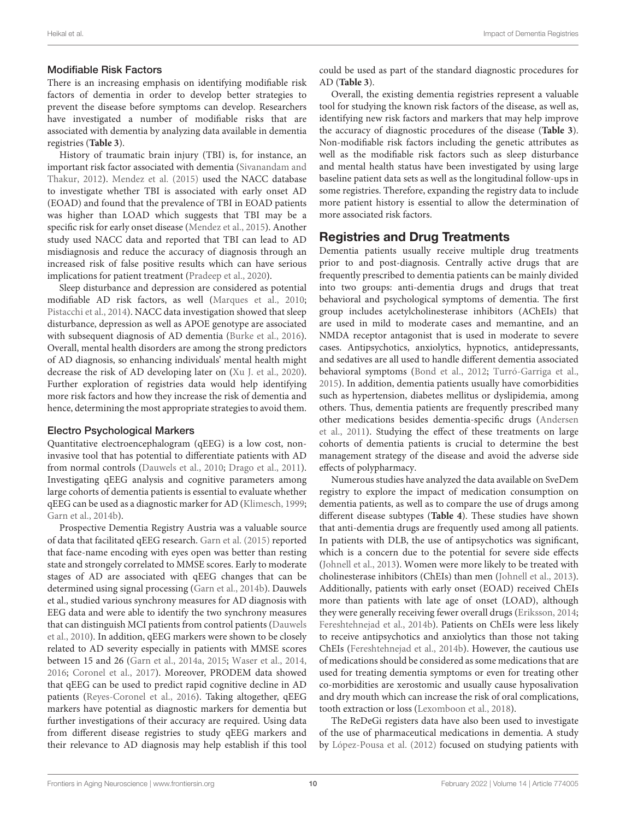### Modifiable Risk Factors

There is an increasing emphasis on identifying modifiable risk factors of dementia in order to develop better strategies to prevent the disease before symptoms can develop. Researchers have investigated a number of modifiable risks that are associated with dementia by analyzing data available in dementia registries (**[Table 3](#page-8-0)**).

History of traumatic brain injury (TBI) is, for instance, an important risk factor associated with dementia [\(Sivanandam and](#page-20-17) [Thakur,](#page-20-17) [2012\)](#page-20-17). [Mendez et al.](#page-19-24) [\(2015\)](#page-19-24) used the NACC database to investigate whether TBI is associated with early onset AD (EOAD) and found that the prevalence of TBI in EOAD patients was higher than LOAD which suggests that TBI may be a specific risk for early onset disease [\(Mendez et al.,](#page-19-24) [2015\)](#page-19-24). Another study used NACC data and reported that TBI can lead to AD misdiagnosis and reduce the accuracy of diagnosis through an increased risk of false positive results which can have serious implications for patient treatment [\(Pradeep et al.,](#page-19-25) [2020\)](#page-19-25).

Sleep disturbance and depression are considered as potential modifiable AD risk factors, as well [\(Marques et al.,](#page-19-26) [2010;](#page-19-26) [Pistacchi et al.,](#page-19-27) [2014\)](#page-19-27). NACC data investigation showed that sleep disturbance, depression as well as APOE genotype are associated with subsequent diagnosis of AD dementia [\(Burke et al.,](#page-17-6) [2016\)](#page-17-6). Overall, mental health disorders are among the strong predictors of AD diagnosis, so enhancing individuals' mental health might decrease the risk of AD developing later on [\(Xu J. et al.,](#page-21-8) [2020\)](#page-21-8). Further exploration of registries data would help identifying more risk factors and how they increase the risk of dementia and hence, determining the most appropriate strategies to avoid them.

### Electro Psychological Markers

Quantitative electroencephalogram (qEEG) is a low cost, noninvasive tool that has potential to differentiate patients with AD from normal controls [\(Dauwels et al.,](#page-18-24) [2010;](#page-18-24) [Drago et al.,](#page-18-25) [2011\)](#page-18-25). Investigating qEEG analysis and cognitive parameters among large cohorts of dementia patients is essential to evaluate whether qEEG can be used as a diagnostic marker for AD [\(Klimesch,](#page-19-28) [1999;](#page-19-28) [Garn et al.,](#page-18-26) [2014b\)](#page-18-26).

Prospective Dementia Registry Austria was a valuable source of data that facilitated qEEG research. [Garn et al.](#page-18-27) [\(2015\)](#page-18-27) reported that face-name encoding with eyes open was better than resting state and strongely correlated to MMSE scores. Early to moderate stages of AD are associated with qEEG changes that can be determined using signal processing [\(Garn et al.,](#page-18-26) [2014b\)](#page-18-26). Dauwels et al., studied various synchrony measures for AD diagnosis with EEG data and were able to identify the two synchrony measures that can distinguish MCI patients from control patients [\(Dauwels](#page-18-24) [et al.,](#page-18-24) [2010\)](#page-18-24). In addition, qEEG markers were shown to be closely related to AD severity especially in patients with MMSE scores between 15 and 26 [\(Garn et al.,](#page-18-28) [2014a,](#page-18-28) [2015;](#page-18-27) [Waser et al.,](#page-20-18) [2014,](#page-20-18) [2016;](#page-21-9) [Coronel et al.,](#page-18-29) [2017\)](#page-18-29). Moreover, PRODEM data showed that qEEG can be used to predict rapid cognitive decline in AD patients [\(Reyes-Coronel et al.,](#page-20-19) [2016\)](#page-20-19). Taking altogether, qEEG markers have potential as diagnostic markers for dementia but further investigations of their accuracy are required. Using data from different disease registries to study qEEG markers and their relevance to AD diagnosis may help establish if this tool

could be used as part of the standard diagnostic procedures for AD (**[Table 3](#page-8-0)**).

Overall, the existing dementia registries represent a valuable tool for studying the known risk factors of the disease, as well as, identifying new risk factors and markers that may help improve the accuracy of diagnostic procedures of the disease (**[Table 3](#page-8-0)**). Non-modifiable risk factors including the genetic attributes as well as the modifiable risk factors such as sleep disturbance and mental health status have been investigated by using large baseline patient data sets as well as the longitudinal follow-ups in some registries. Therefore, expanding the registry data to include more patient history is essential to allow the determination of more associated risk factors.

### Registries and Drug Treatments

Dementia patients usually receive multiple drug treatments prior to and post-diagnosis. Centrally active drugs that are frequently prescribed to dementia patients can be mainly divided into two groups: anti-dementia drugs and drugs that treat behavioral and psychological symptoms of dementia. The first group includes acetylcholinesterase inhibitors (AChEIs) that are used in mild to moderate cases and memantine, and an NMDA receptor antagonist that is used in moderate to severe cases. Antipsychotics, anxiolytics, hypnotics, antidepressants, and sedatives are all used to handle different dementia associated behavioral symptoms [\(Bond et al.,](#page-17-16) [2012;](#page-17-16) [Turró-Garriga et al.,](#page-20-20) [2015\)](#page-20-20). In addition, dementia patients usually have comorbidities such as hypertension, diabetes mellitus or dyslipidemia, among others. Thus, dementia patients are frequently prescribed many other medications besides dementia-specific drugs [\(Andersen](#page-17-17) [et al.,](#page-17-17) [2011\)](#page-17-17). Studying the effect of these treatments on large cohorts of dementia patients is crucial to determine the best management strategy of the disease and avoid the adverse side effects of polypharmacy.

Numerous studies have analyzed the data available on SveDem registry to explore the impact of medication consumption on dementia patients, as well as to compare the use of drugs among different disease subtypes (**[Table 4](#page-11-0)**). These studies have shown that anti-dementia drugs are frequently used among all patients. In patients with DLB, the use of antipsychotics was significant, which is a concern due to the potential for severe side effects [\(Johnell et al.,](#page-19-29) [2013\)](#page-19-29). Women were more likely to be treated with cholinesterase inhibitors (ChEIs) than men [\(Johnell et al.,](#page-19-29) [2013\)](#page-19-29). Additionally, patients with early onset (EOAD) received ChEIs more than patients with late age of onset (LOAD), although they were generally receiving fewer overall drugs [\(Eriksson,](#page-18-30) [2014;](#page-18-30) [Fereshtehnejad et al.,](#page-18-31) [2014b\)](#page-18-31). Patients on ChEIs were less likely to receive antipsychotics and anxiolytics than those not taking ChEIs [\(Fereshtehnejad et al.,](#page-18-31) [2014b\)](#page-18-31). However, the cautious use of medications should be considered as some medications that are used for treating dementia symptoms or even for treating other co-morbidities are xerostomic and usually cause hyposalivation and dry mouth which can increase the risk of oral complications, tooth extraction or loss [\(Lexomboon et al.,](#page-19-30) [2018\)](#page-19-30).

The ReDeGi registers data have also been used to investigate of the use of pharmaceutical medications in dementia. A study by [López-Pousa et al.](#page-19-31) [\(2012\)](#page-19-31) focused on studying patients with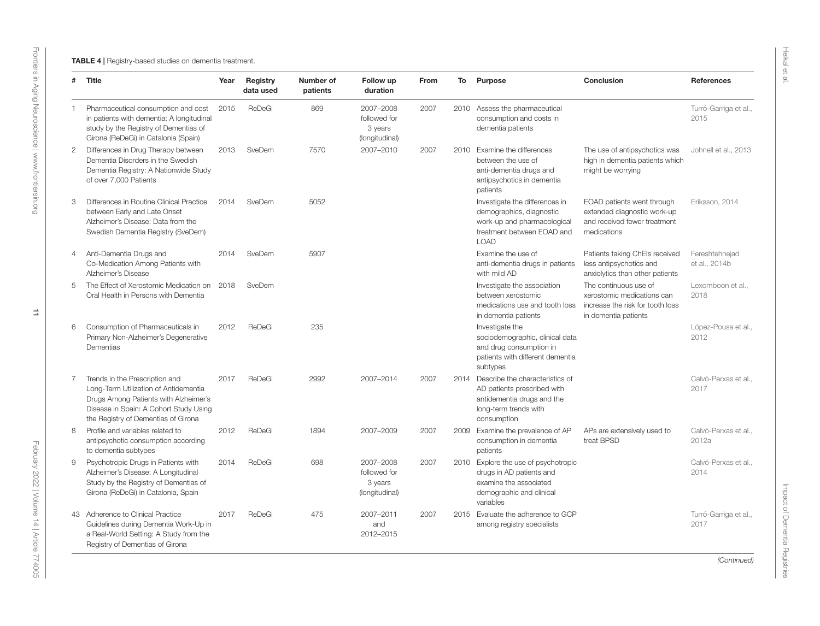<span id="page-11-0"></span>

| #              | Title                                                                                                                                                                                             | Year | Registry<br>data used | Number of<br>patients | Follow up<br>duration                                  | From | To   | Purpose                                                                                                                                | Conclusion                                                                                                      | <b>References</b>               |
|----------------|---------------------------------------------------------------------------------------------------------------------------------------------------------------------------------------------------|------|-----------------------|-----------------------|--------------------------------------------------------|------|------|----------------------------------------------------------------------------------------------------------------------------------------|-----------------------------------------------------------------------------------------------------------------|---------------------------------|
| -1             | Pharmaceutical consumption and cost<br>in patients with dementia: A longitudinal<br>study by the Registry of Dementias of<br>Girona (ReDeGi) in Catalonia (Spain)                                 | 2015 | ReDeGi                | 869                   | 2007-2008<br>followed for<br>3 years<br>(longitudinal) | 2007 |      | 2010 Assess the pharmaceutical<br>consumption and costs in<br>dementia patients                                                        |                                                                                                                 | Turró-Garriga et al.,<br>2015   |
| $\overline{2}$ | Differences in Drug Therapy between<br>Dementia Disorders in the Swedish<br>Dementia Registry: A Nationwide Study<br>of over 7,000 Patients                                                       | 2013 | SveDem                | 7570                  | 2007-2010                                              | 2007 | 2010 | Examine the differences<br>between the use of<br>anti-dementia drugs and<br>antipsychotics in dementia<br>patients                     | The use of antipsychotics was<br>high in dementia patients which<br>might be worrying                           | Johnell et al., 2013            |
| 3              | Differences in Routine Clinical Practice<br>between Early and Late Onset<br>Alzheimer's Disease: Data from the<br>Swedish Dementia Registry (SveDem)                                              | 2014 | SveDem                | 5052                  |                                                        |      |      | Investigate the differences in<br>demographics, diagnostic<br>work-up and pharmacological<br>treatment between EOAD and<br><b>LOAD</b> | EOAD patients went through<br>extended diagnostic work-up<br>and received fewer treatment<br>medications        | Eriksson, 2014                  |
| $\overline{4}$ | Anti-Dementia Drugs and<br>Co-Medication Among Patients with<br>Alzheimer's Disease                                                                                                               | 2014 | SveDem                | 5907                  |                                                        |      |      | Examine the use of<br>anti-dementia drugs in patients<br>with mild AD                                                                  | Patients taking ChEls received<br>less antipsychotics and<br>anxiolytics than other patients                    | Fereshtehnejad<br>et al., 2014b |
| 5              | The Effect of Xerostomic Medication on<br>Oral Health in Persons with Dementia                                                                                                                    | 2018 | SveDem                |                       |                                                        |      |      | Investigate the association<br>between xerostomic<br>medications use and tooth loss<br>in dementia patients                            | The continuous use of<br>xerostomic medications can<br>increase the risk for tooth loss<br>in dementia patients | Lexomboon et al.,<br>2018       |
| 6              | Consumption of Pharmaceuticals in<br>Primary Non-Alzheimer's Degenerative<br>Dementias                                                                                                            | 2012 | ReDeGi                | 235                   |                                                        |      |      | Investigate the<br>sociodemographic, clinical data<br>and drug consumption in<br>patients with different dementia<br>subtypes          |                                                                                                                 | López-Pousa et al.,<br>2012     |
| 7              | Trends in the Prescription and<br>Long-Term Utilization of Antidementia<br>Drugs Among Patients with Alzheimer's<br>Disease in Spain: A Cohort Study Using<br>the Registry of Dementias of Girona | 2017 | ReDeGi                | 2992                  | 2007-2014                                              | 2007 | 2014 | Describe the characteristics of<br>AD patients prescribed with<br>antidementia drugs and the<br>long-term trends with<br>consumption   |                                                                                                                 | Calvó-Perxas et al.,<br>2017    |
| 8              | Profile and variables related to<br>antipsychotic consumption according<br>to dementia subtypes                                                                                                   | 2012 | ReDeGi                | 1894                  | 2007-2009                                              | 2007 | 2009 | Examine the prevalence of AP<br>consumption in dementia<br>patients                                                                    | APs are extensively used to<br>treat BPSD                                                                       | Calvó-Perxas et al<br>2012a     |
| 9              | Psychotropic Drugs in Patients with<br>Alzheimer's Disease: A Longitudinal<br>Study by the Registry of Dementias of<br>Girona (ReDeGi) in Catalonia, Spain                                        | 2014 | ReDeGi                | 698                   | 2007-2008<br>followed for<br>3 years<br>(longitudinal) | 2007 | 2010 | Explore the use of psychotropic<br>drugs in AD patients and<br>examine the associated<br>demographic and clinical<br>variables         |                                                                                                                 | Calvó-Perxas et al.,<br>2014    |
|                | 43 Adherence to Clinical Practice<br>Guidelines during Dementia Work-Up in<br>a Real-World Setting: A Study from the<br>Registry of Dementias of Girona                                           | 2017 | ReDeGi                | 475                   | 2007-2011<br>and<br>2012-2015                          | 2007 | 2015 | Evaluate the adherence to GCP<br>among registry specialists                                                                            |                                                                                                                 | Turró-Garriga et al.,<br>2017   |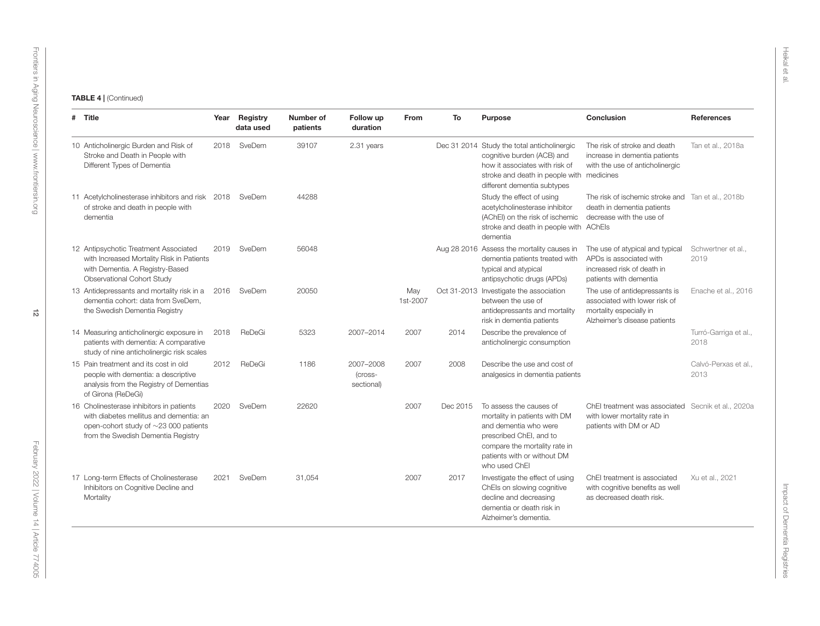| # Title                                                                                                                                                                  |      | Year Registry<br>data used | Number of<br>patients | Follow up<br>duration              | From            | To       | <b>Purpose</b>                                                                                                                                                                                | Conclusion                                                                                                                | <b>References</b>             |
|--------------------------------------------------------------------------------------------------------------------------------------------------------------------------|------|----------------------------|-----------------------|------------------------------------|-----------------|----------|-----------------------------------------------------------------------------------------------------------------------------------------------------------------------------------------------|---------------------------------------------------------------------------------------------------------------------------|-------------------------------|
| 10 Anticholinergic Burden and Risk of<br>Stroke and Death in People with<br>Different Types of Dementia                                                                  |      | 2018 SveDem                | 39107                 | 2.31 years                         |                 |          | Dec 31 2014 Study the total anticholinergic<br>cognitive burden (ACB) and<br>how it associates with risk of<br>stroke and death in people with medicines<br>different dementia subtypes       | The risk of stroke and death<br>increase in dementia patients<br>with the use of anticholinergic                          | Tan et al., 2018a             |
| 11 Acetylcholinesterase inhibitors and risk 2018 SveDem<br>of stroke and death in people with<br>dementia                                                                |      |                            | 44288                 |                                    |                 |          | Study the effect of using<br>acetylcholinesterase inhibitor<br>(AChEI) on the risk of ischemic<br>stroke and death in people with AChEls<br>dementia                                          | The risk of ischemic stroke and Tan et al., 2018b<br>death in dementia patients<br>decrease with the use of               |                               |
| 12 Antipsychotic Treatment Associated<br>with Increased Mortality Risk in Patients<br>with Dementia. A Registry-Based<br>Observational Cohort Study                      | 2019 | SveDem                     | 56048                 |                                    |                 |          | Aug 28 2016 Assess the mortality causes in<br>dementia patients treated with<br>typical and atypical<br>antipsychotic drugs (APDs)                                                            | The use of atypical and typical<br>APDs is associated with<br>increased risk of death in<br>patients with dementia        | Schwertner et al.,<br>2019    |
| 13 Antidepressants and mortality risk in a<br>dementia cohort: data from SveDem.<br>the Swedish Dementia Registry                                                        |      | 2016 SveDem                | 20050                 |                                    | May<br>1st-2007 |          | Oct 31-2013 Investigate the association<br>between the use of<br>antidepressants and mortality<br>risk in dementia patients                                                                   | The use of antidepressants is<br>associated with lower risk of<br>mortality especially in<br>Alzheimer's disease patients | Enache et al., 2016           |
| 14 Measuring anticholinergic exposure in<br>patients with dementia: A comparative<br>study of nine anticholinergic risk scales                                           | 2018 | ReDeGi                     | 5323                  | 2007-2014                          | 2007            | 2014     | Describe the prevalence of<br>anticholinergic consumption                                                                                                                                     |                                                                                                                           | Turró-Garriga et al.,<br>2018 |
| 15 Pain treatment and its cost in old<br>people with dementia: a descriptive<br>analysis from the Registry of Dementias<br>of Girona (ReDeGi)                            | 2012 | ReDeGi                     | 1186                  | 2007-2008<br>(cross-<br>sectional) | 2007            | 2008     | Describe the use and cost of<br>analgesics in dementia patients                                                                                                                               |                                                                                                                           | Calvó-Perxas et al.,<br>2013  |
| 16 Cholinesterase inhibitors in patients<br>with diabetes mellitus and dementia: an<br>open-cohort study of $\sim$ 23 000 patients<br>from the Swedish Dementia Registry | 2020 | SveDem                     | 22620                 |                                    | 2007            | Dec 2015 | To assess the causes of<br>mortality in patients with DM<br>and dementia who were<br>prescribed ChEI, and to<br>compare the mortality rate in<br>patients with or without DM<br>who used ChEI | ChEI treatment was associated Secnik et al., 2020a<br>with lower mortality rate in<br>patients with DM or AD              |                               |
| 17 Long-term Effects of Cholinesterase<br>Inhibitors on Cognitive Decline and<br>Mortality                                                                               | 2021 | SveDem                     | 31,054                |                                    | 2007            | 2017     | Investigate the effect of using<br>ChEls on slowing cognitive<br>decline and decreasing<br>dementia or death risk in<br>Alzheimer's dementia.                                                 | ChEI treatment is associated<br>with cognitive benefits as well<br>as decreased death risk.                               | Xu et al., 2021               |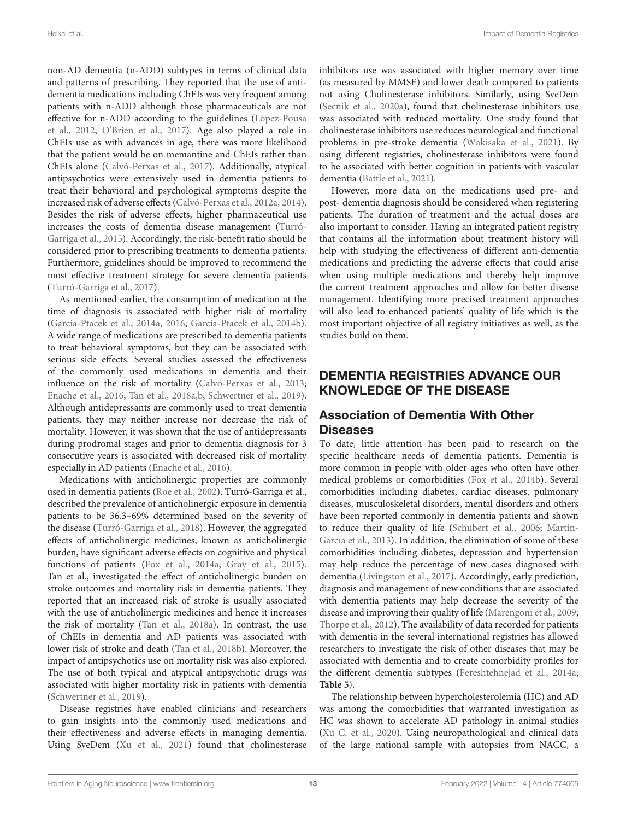non-AD dementia (n-ADD) subtypes in terms of clinical data and patterns of prescribing. They reported that the use of antidementia medications including ChEIs was very frequent among patients with n-ADD although those pharmaceuticals are not effective for n-ADD according to the guidelines [\(López-Pousa](#page-19-31) [et al.,](#page-19-31) [2012;](#page-19-31) [O'Brien et al.,](#page-19-35) [2017\)](#page-19-35). Age also played a role in ChEIs use as with advances in age, there was more likelihood that the patient would be on memantine and ChEIs rather than ChEIs alone [\(Calvó-Perxas et al.,](#page-18-39) [2017\)](#page-18-39). Additionally, atypical antipsychotics were extensively used in dementia patients to treat their behavioral and psychological symptoms despite the increased risk of adverse effects [\(Calvó-Perxas et al.,](#page-18-40) [2012a,](#page-18-40) [2014\)](#page-18-41). Besides the risk of adverse effects, higher pharmaceutical use increases the costs of dementia disease management [\(Turró-](#page-20-20)[Garriga et al.,](#page-20-20) [2015\)](#page-20-20). Accordingly, the risk-benefit ratio should be considered prior to prescribing treatments to dementia patients. Furthermore, guidelines should be improved to recommend the most effective treatment strategy for severe dementia patients [\(Turró-Garriga et al.,](#page-20-28) [2017\)](#page-20-28).

As mentioned earlier, the consumption of medication at the time of diagnosis is associated with higher risk of mortality [\(Garcia-Ptacek et al.,](#page-18-13) [2014a,](#page-18-13) [2016;](#page-18-17) [García-Ptacek et al.,](#page-18-16) [2014b\)](#page-18-16). A wide range of medications are prescribed to dementia patients to treat behavioral symptoms, but they can be associated with serious side effects. Several studies assessed the effectiveness of the commonly used medications in dementia and their influence on the risk of mortality [\(Calvó-Perxas et al.,](#page-18-42) [2013;](#page-18-42) [Enache et al.,](#page-18-43) [2016;](#page-18-43) [Tan et al.,](#page-20-29) [2018a](#page-20-29)[,b;](#page-20-30) [Schwertner et al.,](#page-20-31) [2019\)](#page-20-31). Although antidepressants are commonly used to treat dementia patients, they may neither increase nor decrease the risk of mortality. However, it was shown that the use of antidepressants during prodromal stages and prior to dementia diagnosis for 3 consecutive years is associated with decreased risk of mortality especially in AD patients [\(Enache et al.,](#page-18-43) [2016\)](#page-18-43).

Medications with anticholinergic properties are commonly used in dementia patients [\(Roe et al.,](#page-20-32) [2002\)](#page-20-32). Turró-Garriga et al., described the prevalence of anticholinergic exposure in dementia patients to be 36.3–69% determined based on the severity of the disease [\(Turró-Garriga et al.,](#page-20-33) [2018\)](#page-20-33). However, the aggregated effects of anticholinergic medicines, known as anticholinergic burden, have significant adverse effects on cognitive and physical functions of patients [\(Fox et al.,](#page-18-44) [2014a;](#page-18-44) [Gray et al.,](#page-19-36) [2015\)](#page-19-36). Tan et al., investigated the effect of anticholinergic burden on stroke outcomes and mortality risk in dementia patients. They reported that an increased risk of stroke is usually associated with the use of anticholinergic medicines and hence it increases the risk of mortality [\(Tan et al.,](#page-20-29) [2018a\)](#page-20-29). In contrast, the use of ChEIs in dementia and AD patients was associated with lower risk of stroke and death [\(Tan et al.,](#page-20-30) [2018b\)](#page-20-30). Moreover, the impact of antipsychotics use on mortality risk was also explored. The use of both typical and atypical antipsychotic drugs was associated with higher mortality risk in patients with dementia [\(Schwertner et al.,](#page-20-31) [2019\)](#page-20-31).

Disease registries have enabled clinicians and researchers to gain insights into the commonly used medications and their effectiveness and adverse effects in managing dementia. Using SveDem [\(Xu et al.,](#page-21-11) [2021\)](#page-21-11) found that cholinesterase

inhibitors use was associated with higher memory over time (as measured by MMSE) and lower death compared to patients not using Cholinesterase inhibitors. Similarly, using SveDem [\(Secnik et al.,](#page-20-34) [2020a\)](#page-20-34), found that cholinesterase inhibitors use was associated with reduced mortality. One study found that cholinesterase inhibitors use reduces neurological and functional problems in pre-stroke dementia [\(Wakisaka et al.,](#page-20-35) [2021\)](#page-20-35). By using different registries, cholinesterase inhibitors were found to be associated with better cognition in patients with vascular dementia [\(Battle et al.,](#page-17-18) [2021\)](#page-17-18).

However, more data on the medications used pre- and post- dementia diagnosis should be considered when registering patients. The duration of treatment and the actual doses are also important to consider. Having an integrated patient registry that contains all the information about treatment history will help with studying the effectiveness of different anti-dementia medications and predicting the adverse effects that could arise when using multiple medications and thereby help improve the current treatment approaches and allow for better disease management. Identifying more precised treatment approaches will also lead to enhanced patients' quality of life which is the most important objective of all registry initiatives as well, as the studies build on them.

## DEMENTIA REGISTRIES ADVANCE OUR KNOWLEDGE OF THE DISEASE

### Association of Dementia With Other **Diseases**

To date, little attention has been paid to research on the specific healthcare needs of dementia patients. Dementia is more common in people with older ages who often have other medical problems or comorbidities [\(Fox et al.,](#page-18-45) [2014b\)](#page-18-45). Several comorbidities including diabetes, cardiac diseases, pulmonary diseases, musculoskeletal disorders, mental disorders and others have been reported commonly in dementia patients and shown to reduce their quality of life [\(Schubert et al.,](#page-20-36) [2006;](#page-20-36) [Martín-](#page-19-37)[García et al.,](#page-19-37) [2013\)](#page-19-37). In addition, the elimination of some of these comorbidities including diabetes, depression and hypertension may help reduce the percentage of new cases diagnosed with dementia [\(Livingston et al.,](#page-19-38) [2017\)](#page-19-38). Accordingly, early prediction, diagnosis and management of new conditions that are associated with dementia patients may help decrease the severity of the disease and improving their quality of life [\(Marengoni et al.,](#page-19-39) [2009;](#page-19-39) [Thorpe et al.,](#page-20-37) [2012\)](#page-20-37). The availability of data recorded for patients with dementia in the several international registries has allowed researchers to investigate the risk of other diseases that may be associated with dementia and to create comorbidity profiles for the different dementia subtypes [\(Fereshtehnejad et al.,](#page-18-46) [2014a;](#page-18-46) **[Table 5](#page-14-0)**).

The relationship between hypercholesterolemia (HC) and AD was among the comorbidities that warranted investigation as HC was shown to accelerate AD pathology in animal studies [\(Xu C. et al.,](#page-21-12) [2020\)](#page-21-12). Using neuropathological and clinical data of the large national sample with autopsies from NACC, a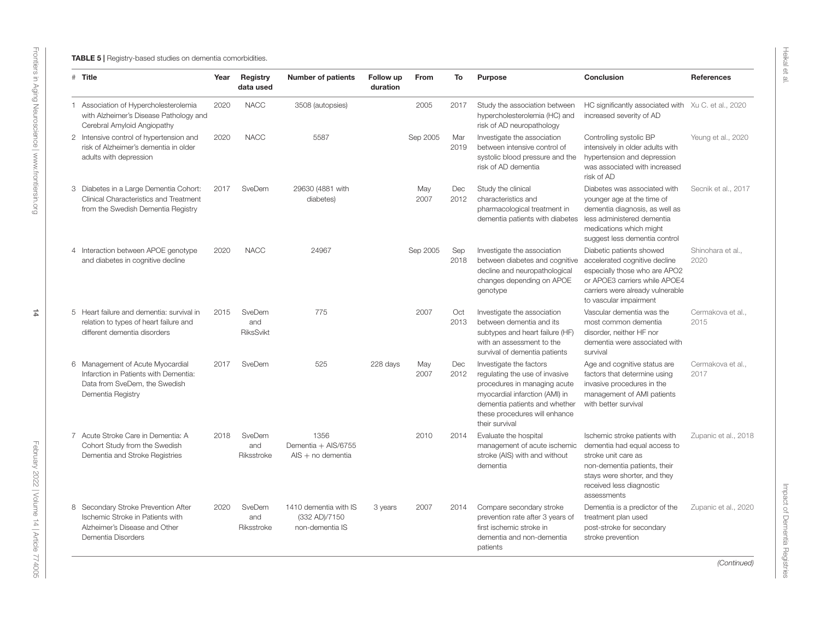<span id="page-14-0"></span>

| # Title                                                                                                                         | Year | Registry<br>data used             | <b>Number of patients</b>                                 | Follow up<br>duration | From        | To          | Purpose                                                                                                                                                                                                         | Conclusion                                                                                                                                                                                      | References                |
|---------------------------------------------------------------------------------------------------------------------------------|------|-----------------------------------|-----------------------------------------------------------|-----------------------|-------------|-------------|-----------------------------------------------------------------------------------------------------------------------------------------------------------------------------------------------------------------|-------------------------------------------------------------------------------------------------------------------------------------------------------------------------------------------------|---------------------------|
| 1 Association of Hypercholesterolemia<br>with Alzheimer's Disease Pathology and<br>Cerebral Amyloid Angiopathy                  | 2020 | <b>NACC</b>                       | 3508 (autopsies)                                          |                       | 2005        | 2017        | Study the association between<br>hypercholesterolemia (HC) and<br>risk of AD neuropathology                                                                                                                     | HC significantly associated with Xu C. et al., 2020<br>increased severity of AD                                                                                                                 |                           |
| 2 Intensive control of hypertension and<br>risk of Alzheimer's dementia in older<br>adults with depression                      | 2020 | <b>NACC</b>                       | 5587                                                      |                       | Sep 2005    | Mar<br>2019 | Investigate the association<br>between intensive control of<br>systolic blood pressure and the<br>risk of AD dementia                                                                                           | Controlling systolic BP<br>intensively in older adults with<br>hypertension and depression<br>was associated with increased<br>risk of AD                                                       | Yeung et al., 2020        |
| 3 Diabetes in a Large Dementia Cohort:<br>Clinical Characteristics and Treatment<br>from the Swedish Dementia Registry          | 2017 | SveDem                            | 29630 (4881 with<br>diabetes)                             |                       | May<br>2007 | Dec<br>2012 | Study the clinical<br>characteristics and<br>pharmacological treatment in<br>dementia patients with diabetes                                                                                                    | Diabetes was associated with<br>younger age at the time of<br>dementia diagnosis, as well as<br>less administered dementia<br>medications which might<br>suggest less dementia control          | Secnik et al., 2017       |
| 4 Interaction between APOE genotype<br>and diabetes in cognitive decline                                                        | 2020 | <b>NACC</b>                       | 24967                                                     |                       | Sep 2005    | Sep<br>2018 | Investigate the association<br>between diabetes and cognitive<br>decline and neuropathological<br>changes depending on APOE<br>genotype                                                                         | Diabetic patients showed<br>accelerated cognitive decline<br>especially those who are APO2<br>or APOE3 carriers while APOE4<br>carriers were already vulnerable<br>to vascular impairment       | Shinohara et al<br>2020   |
| 5 Heart failure and dementia: survival in<br>relation to types of heart failure and<br>different dementia disorders             | 2015 | SveDem<br>and<br><b>RiksSvikt</b> | 775                                                       |                       | 2007        | Oct<br>2013 | Investigate the association<br>between dementia and its<br>subtypes and heart failure (HF)<br>with an assessment to the<br>survival of dementia patients                                                        | Vascular dementia was the<br>most common dementia<br>disorder, neither HF nor<br>dementia were associated with<br>survival                                                                      | Cermakova et al.,<br>2015 |
| 6 Management of Acute Myocardial<br>Infarction in Patients with Dementia:<br>Data from SveDem, the Swedish<br>Dementia Registry | 2017 | SveDem                            | 525                                                       | 228 days              | May<br>2007 | Dec<br>2012 | Investigate the factors<br>regulating the use of invasive<br>procedures in managing acute<br>myocardial infarction (AMI) in<br>dementia patients and whether<br>these procedures will enhance<br>their survival | Age and cognitive status are<br>factors that determine using<br>invasive procedures in the<br>management of AMI patients<br>with better survival                                                | Cermakova et al.,<br>2017 |
| 7 Acute Stroke Care in Dementia: A<br>Cohort Study from the Swedish<br>Dementia and Stroke Registries                           | 2018 | SveDem<br>and<br>Riksstroke       | 1356<br>Dementia + AIS/6755<br>$AIS + no$ dementia        |                       | 2010        | 2014        | Evaluate the hospital<br>management of acute ischemic<br>stroke (AIS) with and without<br>dementia                                                                                                              | Ischemic stroke patients with<br>dementia had equal access to<br>stroke unit care as<br>non-dementia patients, their<br>stays were shorter, and they<br>received less diagnostic<br>assessments | Zupanic et al., 2018      |
| 8 Secondary Stroke Prevention After<br>Ischemic Stroke in Patients with<br>Alzheimer's Disease and Other<br>Dementia Disorders  | 2020 | SveDem<br>and<br>Riksstroke       | 1410 dementia with IS<br>(332 AD)/7150<br>non-dementia IS | 3 years               | 2007        | 2014        | Compare secondary stroke<br>prevention rate after 3 years of<br>first ischemic stroke in<br>dementia and non-dementia<br>patients                                                                               | Dementia is a predictor of the<br>treatment plan used<br>post-stroke for secondary<br>stroke prevention                                                                                         | Zupanic et al., 2020      |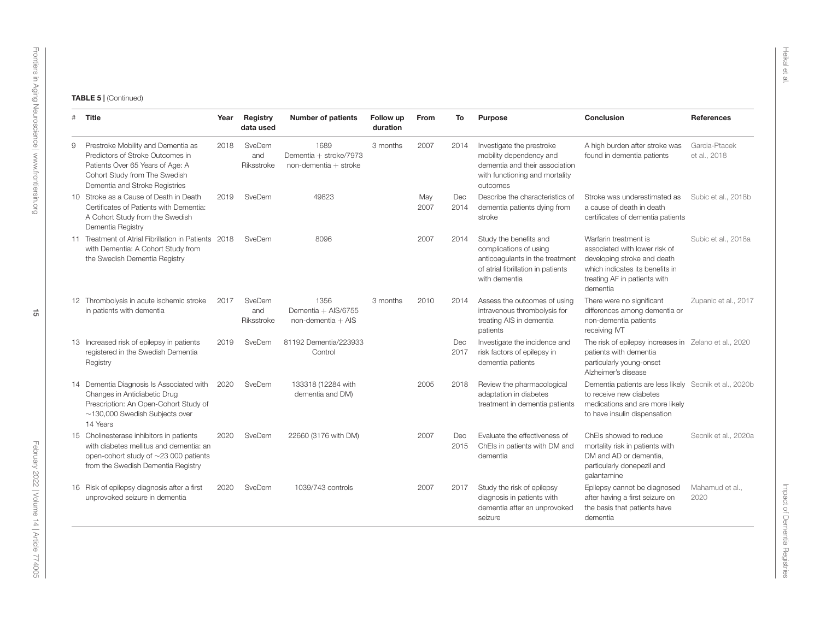|   | # Title                                                                                                                                                                       | Year | <b>Registry</b><br>data used | <b>Number of patients</b>                               | Follow up<br>duration | From        | To                 | <b>Purpose</b>                                                                                                                             | Conclusion                                                                                                                                                           | <b>References</b>             |
|---|-------------------------------------------------------------------------------------------------------------------------------------------------------------------------------|------|------------------------------|---------------------------------------------------------|-----------------------|-------------|--------------------|--------------------------------------------------------------------------------------------------------------------------------------------|----------------------------------------------------------------------------------------------------------------------------------------------------------------------|-------------------------------|
| 9 | Prestroke Mobility and Dementia as<br>Predictors of Stroke Outcomes in<br>Patients Over 65 Years of Age: A<br>Cohort Study from The Swedish<br>Dementia and Stroke Registries | 2018 | SveDem<br>and<br>Riksstroke  | 1689<br>Dementia + stroke/7973<br>non-dementia + stroke | 3 months              | 2007        | 2014               | Investigate the prestroke<br>mobility dependency and<br>dementia and their association<br>with functioning and mortality<br>outcomes       | A high burden after stroke was<br>found in dementia patients                                                                                                         | Garcia-Ptacek<br>et al., 2018 |
|   | 10 Stroke as a Cause of Death in Death<br>Certificates of Patients with Dementia:<br>A Cohort Study from the Swedish<br>Dementia Registry                                     | 2019 | SveDem                       | 49823                                                   |                       | May<br>2007 | Dec<br>2014        | Describe the characteristics of<br>dementia patients dying from<br>stroke                                                                  | Stroke was underestimated as<br>a cause of death in death<br>certificates of dementia patients                                                                       | Subic et al., 2018b           |
|   | 11 Treatment of Atrial Fibrillation in Patients 2018<br>with Dementia: A Cohort Study from<br>the Swedish Dementia Registry                                                   |      | SveDem                       | 8096                                                    |                       | 2007        | 2014               | Study the benefits and<br>complications of using<br>anticoagulants in the treatment<br>of atrial fibrillation in patients<br>with dementia | Warfarin treatment is<br>associated with lower risk of<br>developing stroke and death<br>which indicates its benefits in<br>treating AF in patients with<br>dementia | Subic et al., 2018a           |
|   | 12 Thrombolysis in acute ischemic stroke<br>in patients with dementia                                                                                                         | 2017 | SveDem<br>and<br>Riksstroke  | 1356<br>Dementia + AIS/6755<br>$non-dementia + AIS$     | 3 months              | 2010        | 2014               | Assess the outcomes of using<br>intravenous thrombolysis for<br>treating AIS in dementia<br>patients                                       | There were no significant<br>differences among dementia or<br>non-dementia patients<br>receiving IVT                                                                 | Zupanic et al., 2017          |
|   | 13 Increased risk of epilepsy in patients<br>registered in the Swedish Dementia<br>Registry                                                                                   | 2019 | SveDem                       | 81192 Dementia/223933<br>Control                        |                       |             | Dec<br>2017        | Investigate the incidence and<br>risk factors of epilepsy in<br>dementia patients                                                          | The risk of epilepsy increases in Zelano et al., 2020<br>patients with dementia<br>particularly young-onset<br>Alzheimer's disease                                   |                               |
|   | 14 Dementia Diagnosis Is Associated with<br>Changes in Antidiabetic Drug<br>Prescription: An Open-Cohort Study of<br>$\sim$ 130,000 Swedish Subjects over<br>14 Years         | 2020 | SveDem                       | 133318 (12284 with<br>dementia and DM)                  |                       | 2005        | 2018               | Review the pharmacological<br>adaptation in diabetes<br>treatment in dementia patients                                                     | Dementia patients are less likely Secnik et al., 2020b<br>to receive new diabetes<br>medications and are more likely<br>to have insulin dispensation                 |                               |
|   | 15 Cholinesterase inhibitors in patients<br>with diabetes mellitus and dementia: an<br>open-cohort study of $\sim$ 23 000 patients<br>from the Swedish Dementia Registry      | 2020 | SveDem                       | 22660 (3176 with DM)                                    |                       | 2007        | <b>Dec</b><br>2015 | Evaluate the effectiveness of<br>ChEls in patients with DM and<br>dementia                                                                 | ChEls showed to reduce<br>mortality risk in patients with<br>DM and AD or dementia.<br>particularly donepezil and<br>galantamine                                     | Secnik et al., 2020a          |
|   | 16 Risk of epilepsy diagnosis after a first<br>unprovoked seizure in dementia                                                                                                 | 2020 | SveDem                       | 1039/743 controls                                       |                       | 2007        | 2017               | Study the risk of epilepsy<br>diagnosis in patients with<br>dementia after an unprovoked<br>seizure                                        | Epilepsy cannot be diagnosed<br>after having a first seizure on<br>the basis that patients have<br>dementia                                                          | Mahamud et al<br>2020         |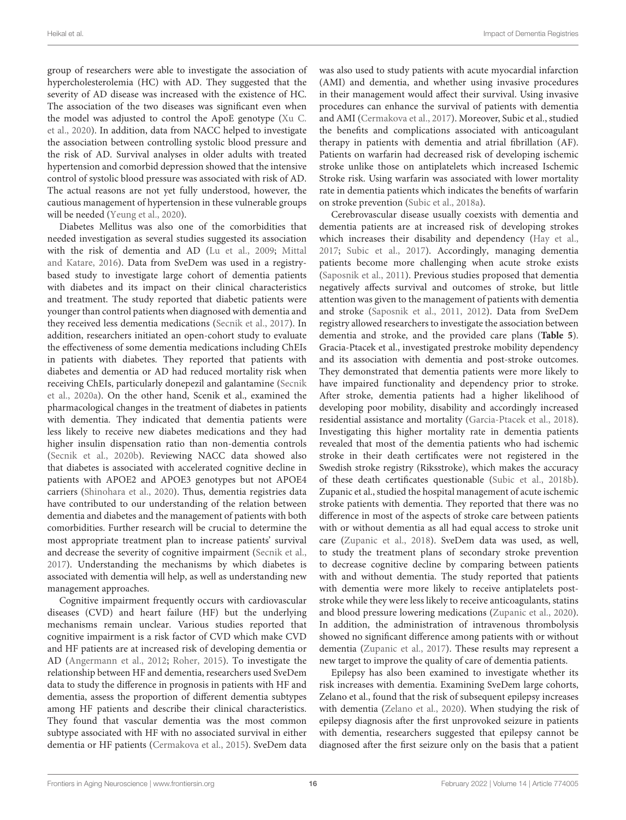group of researchers were able to investigate the association of hypercholesterolemia (HC) with AD. They suggested that the severity of AD disease was increased with the existence of HC. The association of the two diseases was significant even when the model was adjusted to control the ApoE genotype [\(Xu C.](#page-21-12) [et al.,](#page-21-12) [2020\)](#page-21-12). In addition, data from NACC helped to investigate the association between controlling systolic blood pressure and the risk of AD. Survival analyses in older adults with treated hypertension and comorbid depression showed that the intensive control of systolic blood pressure was associated with risk of AD. The actual reasons are not yet fully understood, however, the cautious management of hypertension in these vulnerable groups will be needed [\(Yeung et al.,](#page-21-19) [2020\)](#page-21-19).

Diabetes Mellitus was also one of the comorbidities that needed investigation as several studies suggested its association with the risk of dementia and AD [\(Lu et al.,](#page-19-41) [2009;](#page-19-41) [Mittal](#page-19-42) [and Katare,](#page-19-42) [2016\)](#page-19-42). Data from SveDem was used in a registrybased study to investigate large cohort of dementia patients with diabetes and its impact on their clinical characteristics and treatment. The study reported that diabetic patients were younger than control patients when diagnosed with dementia and they received less dementia medications [\(Secnik et al.,](#page-20-43) [2017\)](#page-20-43). In addition, researchers initiated an open-cohort study to evaluate the effectiveness of some dementia medications including ChEIs in patients with diabetes. They reported that patients with diabetes and dementia or AD had reduced mortality risk when receiving ChEIs, particularly donepezil and galantamine [\(Secnik](#page-20-34) [et al.,](#page-20-34) [2020a\)](#page-20-34). On the other hand, Scenik et al., examined the pharmacological changes in the treatment of diabetes in patients with dementia. They indicated that dementia patients were less likely to receive new diabetes medications and they had higher insulin dispensation ratio than non-dementia controls [\(Secnik et al.,](#page-20-44) [2020b\)](#page-20-44). Reviewing NACC data showed also that diabetes is associated with accelerated cognitive decline in patients with APOE2 and APOE3 genotypes but not APOE4 carriers [\(Shinohara et al.,](#page-20-45) [2020\)](#page-20-45). Thus, dementia registries data have contributed to our understanding of the relation between dementia and diabetes and the management of patients with both comorbidities. Further research will be crucial to determine the most appropriate treatment plan to increase patients' survival and decrease the severity of cognitive impairment [\(Secnik et al.,](#page-20-43) [2017\)](#page-20-43). Understanding the mechanisms by which diabetes is associated with dementia will help, as well as understanding new management approaches.

Cognitive impairment frequently occurs with cardiovascular diseases (CVD) and heart failure (HF) but the underlying mechanisms remain unclear. Various studies reported that cognitive impairment is a risk factor of CVD which make CVD and HF patients are at increased risk of developing dementia or AD [\(Angermann et al.,](#page-17-19) [2012;](#page-17-19) [Roher,](#page-20-46) [2015\)](#page-20-46). To investigate the relationship between HF and dementia, researchers used SveDem data to study the difference in prognosis in patients with HF and dementia, assess the proportion of different dementia subtypes among HF patients and describe their clinical characteristics. They found that vascular dementia was the most common subtype associated with HF with no associated survival in either dementia or HF patients [\(Cermakova et al.,](#page-18-3) [2015\)](#page-18-3). SveDem data

was also used to study patients with acute myocardial infarction (AMI) and dementia, and whether using invasive procedures in their management would affect their survival. Using invasive procedures can enhance the survival of patients with dementia and AMI [\(Cermakova et al.,](#page-18-50) [2017\)](#page-18-50). Moreover, Subic et al., studied the benefits and complications associated with anticoagulant therapy in patients with dementia and atrial fibrillation (AF). Patients on warfarin had decreased risk of developing ischemic stroke unlike those on antiplatelets which increased Ischemic Stroke risk. Using warfarin was associated with lower mortality rate in dementia patients which indicates the benefits of warfarin on stroke prevention [\(Subic et al.,](#page-20-47) [2018a\)](#page-20-47).

Cerebrovascular disease usually coexists with dementia and dementia patients are at increased risk of developing strokes which increases their disability and dependency [\(Hay et al.,](#page-19-43) [2017;](#page-19-43) [Subic et al.,](#page-20-48) [2017\)](#page-20-48). Accordingly, managing dementia patients become more challenging when acute stroke exists [\(Saposnik et al.,](#page-20-49) [2011\)](#page-20-49). Previous studies proposed that dementia negatively affects survival and outcomes of stroke, but little attention was given to the management of patients with dementia and stroke [\(Saposnik et al.,](#page-20-49) [2011,](#page-20-49) [2012\)](#page-20-50). Data from SveDem registry allowed researchers to investigate the association between dementia and stroke, and the provided care plans (**[Table 5](#page-14-0)**). Gracia-Ptacek et al., investigated prestroke mobility dependency and its association with dementia and post-stroke outcomes. They demonstrated that dementia patients were more likely to have impaired functionality and dependency prior to stroke. After stroke, dementia patients had a higher likelihood of developing poor mobility, disability and accordingly increased residential assistance and mortality [\(Garcia-Ptacek et al.,](#page-18-51) [2018\)](#page-18-51). Investigating this higher mortality rate in dementia patients revealed that most of the dementia patients who had ischemic stroke in their death certificates were not registered in the Swedish stroke registry (Riksstroke), which makes the accuracy of these death certificates questionable [\(Subic et al.,](#page-20-51) [2018b\)](#page-20-51). Zupanic et al., studied the hospital management of acute ischemic stroke patients with dementia. They reported that there was no difference in most of the aspects of stroke care between patients with or without dementia as all had equal access to stroke unit care [\(Zupanic et al.,](#page-21-20) [2018\)](#page-21-20). SveDem data was used, as well, to study the treatment plans of secondary stroke prevention to decrease cognitive decline by comparing between patients with and without dementia. The study reported that patients with dementia were more likely to receive antiplatelets poststroke while they were less likely to receive anticoagulants, statins and blood pressure lowering medications [\(Zupanic et al.,](#page-21-4) [2020\)](#page-21-4). In addition, the administration of intravenous thrombolysis showed no significant difference among patients with or without dementia [\(Zupanic et al.,](#page-21-21) [2017\)](#page-21-21). These results may represent a new target to improve the quality of care of dementia patients.

Epilepsy has also been examined to investigate whether its risk increases with dementia. Examining SveDem large cohorts, Zelano et al., found that the risk of subsequent epilepsy increases with dementia [\(Zelano et al.,](#page-21-22) [2020\)](#page-21-22). When studying the risk of epilepsy diagnosis after the first unprovoked seizure in patients with dementia, researchers suggested that epilepsy cannot be diagnosed after the first seizure only on the basis that a patient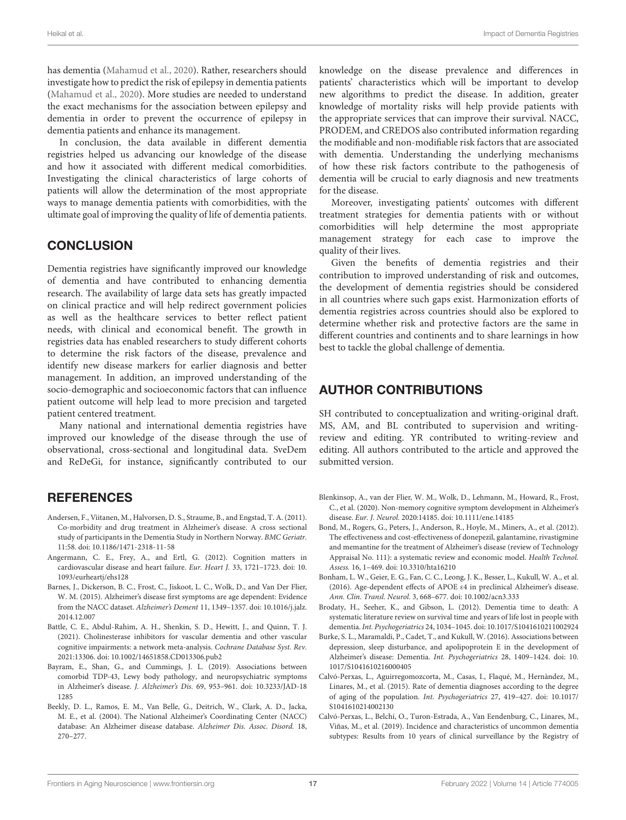<span id="page-17-11"></span>has dementia [\(Mahamud et al.,](#page-19-44) [2020\)](#page-19-44). Rather, researchers should investigate how to predict the risk of epilepsy in dementia patients [\(Mahamud et al.,](#page-19-44) [2020\)](#page-19-44). More studies are needed to understand the exact mechanisms for the association between epilepsy and dementia in order to prevent the occurrence of epilepsy in dementia patients and enhance its management.

In conclusion, the data available in different dementia registries helped us advancing our knowledge of the disease and how it associated with different medical comorbidities. Investigating the clinical characteristics of large cohorts of patients will allow the determination of the most appropriate ways to manage dementia patients with comorbidities, with the ultimate goal of improving the quality of life of dementia patients.

### **CONCLUSION**

<span id="page-17-3"></span><span id="page-17-2"></span>Dementia registries have significantly improved our knowledge of dementia and have contributed to enhancing dementia research. The availability of large data sets has greatly impacted on clinical practice and will help redirect government policies as well as the healthcare services to better reflect patient needs, with clinical and economical benefit. The growth in registries data has enabled researchers to study different cohorts to determine the risk factors of the disease, prevalence and identify new disease markers for earlier diagnosis and better management. In addition, an improved understanding of the socio-demographic and socioeconomic factors that can influence patient outcome will help lead to more precision and targeted patient centered treatment.

Many national and international dementia registries have improved our knowledge of the disease through the use of observational, cross-sectional and longitudinal data. SveDem and ReDeGi, for instance, significantly contributed to our

### **REFERENCES**

- <span id="page-17-17"></span>Andersen, F., Viitanen, M., Halvorsen, D. S., Straume, B., and Engstad, T. A. (2011). Co-morbidity and drug treatment in Alzheimer's disease. A cross sectional study of participants in the Dementia Study in Northern Norway. BMC Geriatr. 11:58. [doi: 10.1186/1471-2318-11-58](https://doi.org/10.1186/1471-2318-11-58)
- <span id="page-17-19"></span>Angermann, C. E., Frey, A., and Ertl, G. (2012). Cognition matters in cardiovascular disease and heart failure. Eur. Heart J. 33, 1721–1723. [doi: 10.](https://doi.org/10.1093/eurheartj/ehs128) [1093/eurheartj/ehs128](https://doi.org/10.1093/eurheartj/ehs128)
- <span id="page-17-8"></span>Barnes, J., Dickerson, B. C., Frost, C., Jiskoot, L. C., Wolk, D., and Van Der Flier, W. M. (2015). Alzheimer's disease first symptoms are age dependent: Evidence from the NACC dataset. Alzheimer's Dement 11, 1349–1357. [doi: 10.1016/j.jalz.](https://doi.org/10.1016/j.jalz.2014.12.007) [2014.12.007](https://doi.org/10.1016/j.jalz.2014.12.007)
- <span id="page-17-18"></span>Battle, C. E., Abdul-Rahim, A. H., Shenkin, S. D., Hewitt, J., and Quinn, T. J. (2021). Cholinesterase inhibitors for vascular dementia and other vascular cognitive impairments: a network meta-analysis. Cochrane Database Syst. Rev. 2021:13306. [doi: 10.1002/14651858.CD013306.pub2](https://doi.org/10.1002/14651858.CD013306.pub2)
- <span id="page-17-7"></span>Bayram, E., Shan, G., and Cummings, J. L. (2019). Associations between comorbid TDP-43, Lewy body pathology, and neuropsychiatric symptoms in Alzheimer's disease. J. Alzheimer's Dis. 69, 953–961. [doi: 10.3233/JAD-18](https://doi.org/10.3233/JAD-181285) [1285](https://doi.org/10.3233/JAD-181285)
- <span id="page-17-0"></span>Beekly, D. L., Ramos, E. M., Van Belle, G., Deitrich, W., Clark, A. D., Jacka, M. E., et al. (2004). The National Alzheimer's Coordinating Center (NACC) database: An Alzheimer disease database. Alzheimer Dis. Assoc. Disord. 18, 270–277.

<span id="page-17-13"></span>knowledge on the disease prevalence and differences in patients' characteristics which will be important to develop new algorithms to predict the disease. In addition, greater knowledge of mortality risks will help provide patients with the appropriate services that can improve their survival. NACC, PRODEM, and CREDOS also contributed information regarding the modifiable and non-modifiable risk factors that are associated with dementia. Understanding the underlying mechanisms of how these risk factors contribute to the pathogenesis of dementia will be crucial to early diagnosis and new treatments for the disease.

Moreover, investigating patients' outcomes with different treatment strategies for dementia patients with or without comorbidities will help determine the most appropriate management strategy for each case to improve the quality of their lives.

<span id="page-17-15"></span><span id="page-17-14"></span><span id="page-17-12"></span>Given the benefits of dementia registries and their contribution to improved understanding of risk and outcomes, the development of dementia registries should be considered in all countries where such gaps exist. Harmonization efforts of dementia registries across countries should also be explored to determine whether risk and protective factors are the same in different countries and continents and to share learnings in how best to tackle the global challenge of dementia.

### AUTHOR CONTRIBUTIONS

SH contributed to conceptualization and writing-original draft. MS, AM, and BL contributed to supervision and writingreview and editing. YR contributed to writing-review and editing. All authors contributed to the article and approved the submitted version.

- <span id="page-17-9"></span>Blenkinsop, A., van der Flier, W. M., Wolk, D., Lehmann, M., Howard, R., Frost, C., et al. (2020). Non-memory cognitive symptom development in Alzheimer's disease. Eur. J. Neurol. 2020:14185. [doi: 10.1111/ene.14185](https://doi.org/10.1111/ene.14185)
- <span id="page-17-16"></span>Bond, M., Rogers, G., Peters, J., Anderson, R., Hoyle, M., Miners, A., et al. (2012). The effectiveness and cost-effectiveness of donepezil, galantamine, rivastigmine and memantine for the treatment of Alzheimer's disease (review of Technology Appraisal No. 111): a systematic review and economic model. Health Technol. Assess. 16, 1–469. [doi: 10.3310/hta16210](https://doi.org/10.3310/hta16210)
- <span id="page-17-10"></span>Bonham, L. W., Geier, E. G., Fan, C. C., Leong, J. K., Besser, L., Kukull, W. A., et al. (2016). Age-dependent effects of APOE ε4 in preclinical Alzheimer's disease. Ann. Clin. Transl. Neurol. 3, 668–677. [doi: 10.1002/acn3.333](https://doi.org/10.1002/acn3.333)
- <span id="page-17-5"></span>Brodaty, H., Seeher, K., and Gibson, L. (2012). Dementia time to death: A systematic literature review on survival time and years of life lost in people with dementia. Int. Psychogeriatrics 24, 1034–1045. [doi: 10.1017/S1041610211002924](https://doi.org/10.1017/S1041610211002924)
- <span id="page-17-6"></span>Burke, S. L., Maramaldi, P., Cadet, T., and Kukull, W. (2016). Associations between depression, sleep disturbance, and apolipoprotein E in the development of Alzheimer's disease: Dementia. Int. Psychogeriatrics 28, 1409–1424. [doi: 10.](https://doi.org/10.1017/S1041610216000405) [1017/S1041610216000405](https://doi.org/10.1017/S1041610216000405)
- <span id="page-17-4"></span>Calvó-Perxas, L., Aguirregomozcorta, M., Casas, I., Flaqué, M., Hernàndez, M., Linares, M., et al. (2015). Rate of dementia diagnoses according to the degree of aging of the population. Int. Psychogeriatrics 27, 419–427. [doi: 10.1017/](https://doi.org/10.1017/S1041610214002130) [S1041610214002130](https://doi.org/10.1017/S1041610214002130)
- <span id="page-17-1"></span>Calvó-Perxas, L., Belchí, O., Turon-Estrada, A., Van Eendenburg, C., Linares, M., Viñas, M., et al. (2019). Incidence and characteristics of uncommon dementia subtypes: Results from 10 years of clinical surveillance by the Registry of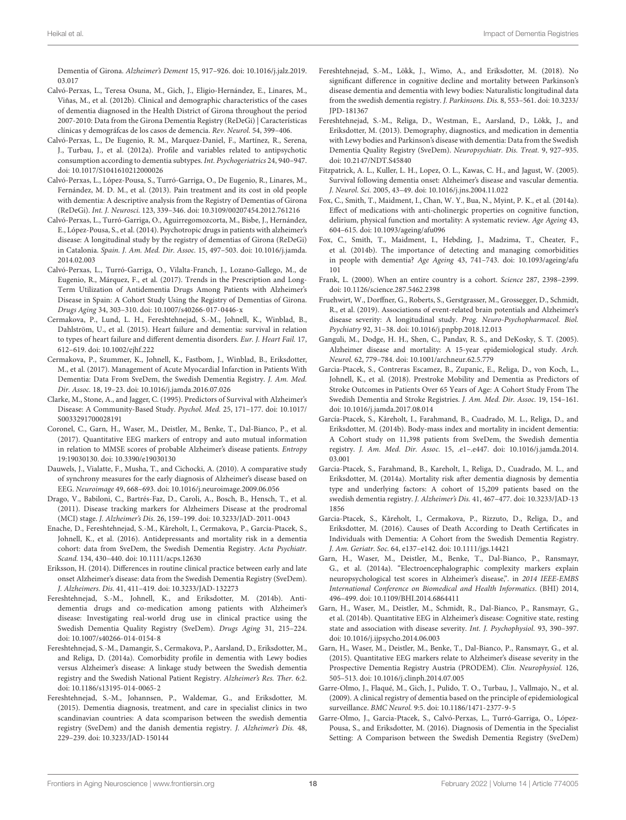Dementia of Girona. Alzheimer's Dement 15, 917–926. [doi: 10.1016/j.jalz.2019.](https://doi.org/10.1016/j.jalz.2019.03.017) [03.017](https://doi.org/10.1016/j.jalz.2019.03.017)

- <span id="page-18-4"></span>Calvó-Perxas, L., Teresa Osuna, M., Gich, J., Eligio-Hernández, E., Linares, M., Viñas, M., et al. (2012b). Clinical and demographic characteristics of the cases of dementia diagnosed in the Health District of Girona throughout the period 2007-2010: Data from the Girona Dementia Registry (ReDeGi) | Características clínicas y demográfcas de los casos de demencia. Rev. Neurol. 54, 399–406.
- <span id="page-18-40"></span>Calvó-Perxas, L., De Eugenio, R. M., Marquez-Daniel, F., Martínez, R., Serena, J., Turbau, J., et al. (2012a). Profile and variables related to antipsychotic consumption according to dementia subtypes. Int. Psychogeriatrics 24, 940–947. [doi: 10.1017/S1041610212000026](https://doi.org/10.1017/S1041610212000026)
- <span id="page-18-42"></span>Calvó-Perxas, L., López-Pousa, S., Turró-Garriga, O., De Eugenio, R., Linares, M., Fernández, M. D. M., et al. (2013). Pain treatment and its cost in old people with dementia: A descriptive analysis from the Registry of Dementias of Girona (ReDeGi). Int. J. Neurosci. 123, 339–346. [doi: 10.3109/00207454.2012.761216](https://doi.org/10.3109/00207454.2012.761216)
- <span id="page-18-41"></span>Calvó-Perxas, L., Turró-Garriga, O., Aguirregomozcorta, M., Bisbe, J., Hernández, E., López-Pousa, S., et al. (2014). Psychotropic drugs in patients with alzheimer's disease: A longitudinal study by the registry of dementias of Girona (ReDeGi) in Catalonia. Spain. J. Am. Med. Dir. Assoc. 15, 497–503. [doi: 10.1016/j.jamda.](https://doi.org/10.1016/j.jamda.2014.02.003) [2014.02.003](https://doi.org/10.1016/j.jamda.2014.02.003)
- <span id="page-18-39"></span>Calvó-Perxas, L., Turró-Garriga, O., Vilalta-Franch, J., Lozano-Gallego, M., de Eugenio, R., Márquez, F., et al. (2017). Trends in the Prescription and Long-Term Utilization of Antidementia Drugs Among Patients with Alzheimer's Disease in Spain: A Cohort Study Using the Registry of Dementias of Girona. Drugs Aging 34, 303–310. [doi: 10.1007/s40266-017-0446-x](https://doi.org/10.1007/s40266-017-0446-x)
- <span id="page-18-21"></span><span id="page-18-6"></span><span id="page-18-3"></span>Cermakova, P., Lund, L. H., Fereshtehnejad, S.-M., Johnell, K., Winblad, B., Dahlström, U., et al. (2015). Heart failure and dementia: survival in relation to types of heart failure and different dementia disorders. Eur. J. Heart Fail. 17, 612–619. [doi: 10.1002/ejhf.222](https://doi.org/10.1002/ejhf.222)
- <span id="page-18-50"></span>Cermakova, P., Szummer, K., Johnell, K., Fastbom, J., Winblad, B., Eriksdotter, M., et al. (2017). Management of Acute Myocardial Infarction in Patients With Dementia: Data From SveDem, the Swedish Dementia Registry. J. Am. Med. Dir. Assoc. 18, 19–23. [doi: 10.1016/j.jamda.2016.07.026](https://doi.org/10.1016/j.jamda.2016.07.026)
- <span id="page-18-15"></span>Clarke, M., Stone, A., and Jagger, C. (1995). Predictors of Survival with Alzheimer's Disease: A Community-Based Study. Psychol. Med. 25, 171–177. [doi: 10.1017/](https://doi.org/10.1017/S0033291700028191) [S0033291700028191](https://doi.org/10.1017/S0033291700028191)
- <span id="page-18-29"></span>Coronel, C., Garn, H., Waser, M., Deistler, M., Benke, T., Dal-Bianco, P., et al. (2017). Quantitative EEG markers of entropy and auto mutual information in relation to MMSE scores of probable Alzheimer's disease patients. Entropy 19:19030130. [doi: 10.3390/e19030130](https://doi.org/10.3390/e19030130)
- <span id="page-18-24"></span>Dauwels, J., Vialatte, F., Musha, T., and Cichocki, A. (2010). A comparative study of synchrony measures for the early diagnosis of Alzheimer's disease based on EEG. Neuroimage 49, 668–693. [doi: 10.1016/j.neuroimage.2009.06.056](https://doi.org/10.1016/j.neuroimage.2009.06.056)
- <span id="page-18-25"></span>Drago, V., Babiloni, C., Bartrés-Faz, D., Caroli, A., Bosch, B., Hensch, T., et al. (2011). Disease tracking markers for Alzheimers Disease at the prodromal (MCI) stage. J. Alzheimer's Dis. 26, 159–199. [doi: 10.3233/JAD-2011-0043](https://doi.org/10.3233/JAD-2011-0043)
- <span id="page-18-43"></span>Enache, D., Fereshtehnejad, S.-M., Kåreholt, I., Cermakova, P., Garcia-Ptacek, S., Johnell, K., et al. (2016). Antidepressants and mortality risk in a dementia cohort: data from SveDem, the Swedish Dementia Registry. Acta Psychiatr. Scand. 134, 430–440. [doi: 10.1111/acps.12630](https://doi.org/10.1111/acps.12630)
- <span id="page-18-30"></span>Eriksson, H. (2014). Differences in routine clinical practice between early and late onset Alzheimer's disease: data from the Swedish Dementia Registry (SveDem). J. Alzheimers. Dis. 41, 411–419. [doi: 10.3233/JAD-132273](https://doi.org/10.3233/JAD-132273)
- <span id="page-18-31"></span>Fereshtehnejad, S.-M., Johnell, K., and Eriksdotter, M. (2014b). Antidementia drugs and co-medication among patients with Alzheimer's disease: Investigating real-world drug use in clinical practice using the Swedish Dementia Quality Registry (SveDem). Drugs Aging 31, 215–224. [doi: 10.1007/s40266-014-0154-8](https://doi.org/10.1007/s40266-014-0154-8)
- <span id="page-18-46"></span>Fereshtehnejad, S.-M., Damangir, S., Cermakova, P., Aarsland, D., Eriksdotter, M., and Religa, D. (2014a). Comorbidity profile in dementia with Lewy bodies versus Alzheimer's disease: A linkage study between the Swedish dementia registry and the Swedish National Patient Registry. Alzheimer's Res. Ther. 6:2. [doi: 10.1186/s13195-014-0065-2](https://doi.org/10.1186/s13195-014-0065-2)
- <span id="page-18-2"></span>Fereshtehnejad, S.-M., Johannsen, P., Waldemar, G., and Eriksdotter, M. (2015). Dementia diagnosis, treatment, and care in specialist clinics in two scandinavian countries: A data scomparison between the swedish dementia registry (SveDem) and the danish dementia registry. J. Alzheimer's Dis. 48, 229–239. [doi: 10.3233/JAD-150144](https://doi.org/10.3233/JAD-150144)
- <span id="page-18-48"></span><span id="page-18-47"></span><span id="page-18-38"></span><span id="page-18-37"></span><span id="page-18-36"></span><span id="page-18-35"></span><span id="page-18-34"></span><span id="page-18-33"></span><span id="page-18-32"></span><span id="page-18-23"></span><span id="page-18-10"></span><span id="page-18-5"></span>Fereshtehnejad, S.-M., Lökk, J., Wimo, A., and Eriksdotter, M. (2018). No significant difference in cognitive decline and mortality between Parkinson's disease dementia and dementia with lewy bodies: Naturalistic longitudinal data from the swedish dementia registry. J. Parkinsons. Dis. 8, 553–561. [doi: 10.3233/](https://doi.org/10.3233/JPD-181367) [JPD-181367](https://doi.org/10.3233/JPD-181367)
- <span id="page-18-9"></span>Fereshtehnejad, S.-M., Religa, D., Westman, E., Aarsland, D., Lökk, J., and Eriksdotter, M. (2013). Demography, diagnostics, and medication in dementia with Lewy bodies and Parkinson's disease with dementia: Data from the Swedish Dementia Quality Registry (SveDem). Neuropsychiatr. Dis. Treat. 9, 927–935. [doi: 10.2147/NDT.S45840](https://doi.org/10.2147/NDT.S45840)
- <span id="page-18-14"></span>Fitzpatrick, A. L., Kuller, L. H., Lopez, O. L., Kawas, C. H., and Jagust, W. (2005). Survival following dementia onset: Alzheimer's disease and vascular dementia. J. Neurol. Sci. 2005, 43–49. [doi: 10.1016/j.jns.2004.11.022](https://doi.org/10.1016/j.jns.2004.11.022)
- <span id="page-18-44"></span>Fox, C., Smith, T., Maidment, I., Chan, W. Y., Bua, N., Myint, P. K., et al. (2014a). Effect of medications with anti-cholinergic properties on cognitive function, delirium, physical function and mortality: A systematic review. Age Ageing 43, 604–615. [doi: 10.1093/ageing/afu096](https://doi.org/10.1093/ageing/afu096)
- <span id="page-18-45"></span>Fox, C., Smith, T., Maidment, I., Hebding, J., Madzima, T., Cheater, F., et al. (2014b). The importance of detecting and managing comorbidities in people with dementia? Age Ageing 43, 741–743. [doi: 10.1093/ageing/afu](https://doi.org/10.1093/ageing/afu101) [101](https://doi.org/10.1093/ageing/afu101)
- <span id="page-18-19"></span><span id="page-18-8"></span><span id="page-18-7"></span><span id="page-18-0"></span>Frank, L. (2000). When an entire country is a cohort. Science 287, 2398–2399. [doi: 10.1126/science.287.5462.2398](https://doi.org/10.1126/science.287.5462.2398)
- <span id="page-18-49"></span><span id="page-18-22"></span><span id="page-18-20"></span><span id="page-18-18"></span>Fruehwirt, W., Dorffner, G., Roberts, S., Gerstgrasser, M., Grossegger, D., Schmidt, R., et al. (2019). Associations of event-related brain potentials and Alzheimer's disease severity: A longitudinal study. Prog. Neuro-Psychopharmacol. Biol. Psychiatry 92, 31–38. [doi: 10.1016/j.pnpbp.2018.12.013](https://doi.org/10.1016/j.pnpbp.2018.12.013)
- <span id="page-18-12"></span>Ganguli, M., Dodge, H. H., Shen, C., Pandav, R. S., and DeKosky, S. T. (2005). Alzheimer disease and mortality: A 15-year epidemiological study. Arch. Neurol. 62, 779–784. [doi: 10.1001/archneur.62.5.779](https://doi.org/10.1001/archneur.62.5.779)
- <span id="page-18-51"></span>Garcia-Ptacek, S., Contreras Escamez, B., Zupanic, E., Religa, D., von Koch, L., Johnell, K., et al. (2018). Prestroke Mobility and Dementia as Predictors of Stroke Outcomes in Patients Over 65 Years of Age: A Cohort Study From The Swedish Dementia and Stroke Registries. J. Am. Med. Dir. Assoc. 19, 154–161. [doi: 10.1016/j.jamda.2017.08.014](https://doi.org/10.1016/j.jamda.2017.08.014)
- <span id="page-18-16"></span>García-Ptacek, S., Kåreholt, I., Farahmand, B., Cuadrado, M. L., Religa, D., and Eriksdotter, M. (2014b). Body-mass index and mortality in incident dementia: A Cohort study on 11,398 patients from SveDem, the Swedish dementia registry. J. Am. Med. Dir. Assoc. 15, .e1–.e447. [doi: 10.1016/j.jamda.2014.](https://doi.org/10.1016/j.jamda.2014.03.001) [03.001](https://doi.org/10.1016/j.jamda.2014.03.001)
- <span id="page-18-13"></span>Garcia-Ptacek, S., Farahmand, B., Kareholt, I., Religa, D., Cuadrado, M. L., and Eriksdotter, M. (2014a). Mortality risk after dementia diagnosis by dementia type and underlying factors: A cohort of 15,209 patients based on the swedish dementia registry. J. Alzheimer's Dis. 41, 467–477. [doi: 10.3233/JAD-13](https://doi.org/10.3233/JAD-131856) [1856](https://doi.org/10.3233/JAD-131856)
- <span id="page-18-17"></span>Garcia-Ptacek, S., Kåreholt, I., Cermakova, P., Rizzuto, D., Religa, D., and Eriksdotter, M. (2016). Causes of Death According to Death Certificates in Individuals with Dementia: A Cohort from the Swedish Dementia Registry. J. Am. Geriatr. Soc. 64, e137–e142. [doi: 10.1111/jgs.14421](https://doi.org/10.1111/jgs.14421)
- <span id="page-18-28"></span>Garn, H., Waser, M., Deistler, M., Benke, T., Dal-Bianco, P., Ransmayr, G., et al. (2014a). "Electroencephalographic complexity markers explain neuropsychological test scores in Alzheimer's disease,". in 2014 IEEE-EMBS International Conference on Biomedical and Health Informatics. (BHI) 2014, 496–499. [doi: 10.1109/BHI.2014.6864411](https://doi.org/10.1109/BHI.2014.6864411)
- <span id="page-18-26"></span>Garn, H., Waser, M., Deistler, M., Schmidt, R., Dal-Bianco, P., Ransmayr, G., et al. (2014b). Quantitative EEG in Alzheimer's disease: Cognitive state, resting state and association with disease severity. Int. J. Psychophysiol. 93, 390–397. [doi: 10.1016/j.ijpsycho.2014.06.003](https://doi.org/10.1016/j.ijpsycho.2014.06.003)
- <span id="page-18-27"></span>Garn, H., Waser, M., Deistler, M., Benke, T., Dal-Bianco, P., Ransmayr, G., et al. (2015). Quantitative EEG markers relate to Alzheimer's disease severity in the Prospective Dementia Registry Austria (PRODEM). Clin. Neurophysiol. 126, 505–513. [doi: 10.1016/j.clinph.2014.07.005](https://doi.org/10.1016/j.clinph.2014.07.005)
- <span id="page-18-1"></span>Garre-Olmo, J., Flaqué, M., Gich, J., Pulido, T. O., Turbau, J., Vallmajo, N., et al. (2009). A clinical registry of dementia based on the principle of epidemiological surveillance. BMC Neurol. 9:5. [doi: 10.1186/1471-2377-9-5](https://doi.org/10.1186/1471-2377-9-5)
- <span id="page-18-11"></span>Garre-Olmo, J., Garcia-Ptacek, S., Calvó-Perxas, L., Turró-Garriga, O., López-Pousa, S., and Eriksdotter, M. (2016). Diagnosis of Dementia in the Specialist Setting: A Comparison between the Swedish Dementia Registry (SveDem)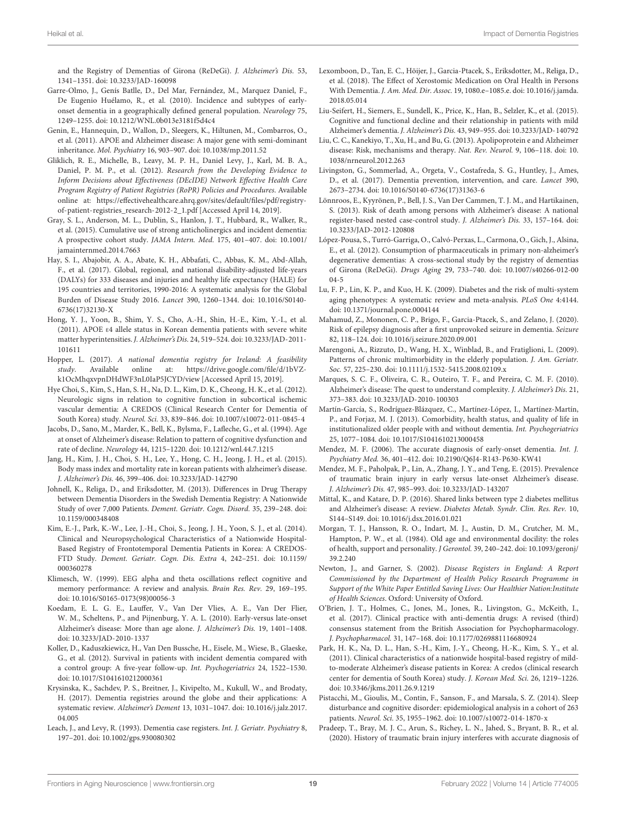and the Registry of Dementias of Girona (ReDeGi). J. Alzheimer's Dis. 53, 1341–1351. [doi: 10.3233/JAD-160098](https://doi.org/10.3233/JAD-160098)

- <span id="page-19-9"></span>Garre-Olmo, J., Genís Batlle, D., Del Mar, Fernández, M., Marquez Daniel, F., De Eugenio Huélamo, R., et al. (2010). Incidence and subtypes of earlyonset dementia in a geographically defined general population. Neurology 75, 1249–1255. [doi: 10.1212/WNL.0b013e3181f5d4c4](https://doi.org/10.1212/WNL.0b013e3181f5d4c4)
- <span id="page-19-16"></span>Genin, E., Hannequin, D., Wallon, D., Sleegers, K., Hiltunen, M., Combarros, O., et al. (2011). APOE and Alzheimer disease: A major gene with semi-dominant inheritance. Mol. Psychiatry 16, 903–907. [doi: 10.1038/mp.2011.52](https://doi.org/10.1038/mp.2011.52)
- <span id="page-19-1"></span>Gliklich, R. E., Michelle, B., Leavy, M. P. H., Daniel Levy, J., Karl, M. B. A., Daniel, P. M. P., et al. (2012). Research from the Developing Evidence to Inform Decisions about Effectiveness (DEcIDE) Network Effective Health Care Program Registry of Patient Registries (RoPR) Policies and Procedures. Available online at: [https://effectivehealthcare.ahrq.gov/sites/default/files/pdf/registry](https://effectivehealthcare.ahrq.gov/sites/default/files/pdf/registry-of-patient-registries_research-2012-2_1.pdf)[of-patient-registries\\_research-2012-2\\_1.pdf](https://effectivehealthcare.ahrq.gov/sites/default/files/pdf/registry-of-patient-registries_research-2012-2_1.pdf) [Accessed April 14, 2019].
- <span id="page-19-36"></span>Gray, S. L., Anderson, M. L., Dublin, S., Hanlon, J. T., Hubbard, R., Walker, R., et al. (2015). Cumulative use of strong anticholinergics and incident dementia: A prospective cohort study. JAMA Intern. Med. 175, 401–407. [doi: 10.1001/](https://doi.org/10.1001/jamainternmed.2014.7663) [jamainternmed.2014.7663](https://doi.org/10.1001/jamainternmed.2014.7663)
- <span id="page-19-43"></span>Hay, S. I., Abajobir, A. A., Abate, K. H., Abbafati, C., Abbas, K. M., Abd-Allah, F., et al. (2017). Global, regional, and national disability-adjusted life-years (DALYs) for 333 diseases and injuries and healthy life expectancy (HALE) for 195 countries and territories, 1990-2016: A systematic analysis for the Global Burden of Disease Study 2016. Lancet 390, 1260–1344. [doi: 10.1016/S0140-](https://doi.org/10.1016/S0140-6736(17)32130-X) [6736\(17\)32130-X](https://doi.org/10.1016/S0140-6736(17)32130-X)
- <span id="page-19-23"></span><span id="page-19-20"></span>Hong, Y. J., Yoon, B., Shim, Y. S., Cho, A.-H., Shin, H.-E., Kim, Y.-I., et al. (2011). APOE ε4 allele status in Korean dementia patients with severe white matter hyperintensities. J. Alzheimer's Dis. 24, 519–524. [doi: 10.3233/JAD-2011-](https://doi.org/10.3233/JAD-2011-101611) [101611](https://doi.org/10.3233/JAD-2011-101611)
- <span id="page-19-3"></span>Hopper, L. (2017). A national dementia registry for Ireland: A feasibility study. Available online at: [https://drive.google.com/file/d/1bVZ](https://drive.google.com/file/d/1bVZ-k1OcMhqxvpnDHdWF3nL0IaP5JCYD/view)[k1OcMhqxvpnDHdWF3nL0IaP5JCYD/view](https://drive.google.com/file/d/1bVZ-k1OcMhqxvpnDHdWF3nL0IaP5JCYD/view) [Accessed April 15, 2019].
- <span id="page-19-6"></span>Hye Choi, S., Kim, S., Han, S. H., Na, D. L., Kim, D. K., Cheong, H. K., et al. (2012). Neurologic signs in relation to cognitive function in subcortical ischemic vascular dementia: A CREDOS (Clinical Research Center for Dementia of South Korea) study. Neurol. Sci. 33, 839–846. [doi: 10.1007/s10072-011-0845-4](https://doi.org/10.1007/s10072-011-0845-4)
- <span id="page-19-18"></span>Jacobs, D., Sano, M., Marder, K., Bell, K., Bylsma, F., Lafleche, G., et al. (1994). Age at onset of Alzheimer's disease: Relation to pattern of cognitive dysfunction and rate of decline. Neurology 44, 1215–1220. [doi: 10.1212/wnl.44.7.1215](https://doi.org/10.1212/wnl.44.7.1215)
- <span id="page-19-15"></span>Jang, H., Kim, J. H., Choi, S. H., Lee, Y., Hong, C. H., Jeong, J. H., et al. (2015). Body mass index and mortality rate in korean patients with alzheimer's disease. J. Alzheimer's Dis. 46, 399–406. [doi: 10.3233/JAD-142790](https://doi.org/10.3233/JAD-142790)
- <span id="page-19-29"></span>Johnell, K., Religa, D., and Eriksdotter, M. (2013). Differences in Drug Therapy between Dementia Disorders in the Swedish Dementia Registry: A Nationwide Study of over 7,000 Patients. Dement. Geriatr. Cogn. Disord. 35, 239–248. [doi:](https://doi.org/10.1159/000348408) [10.1159/000348408](https://doi.org/10.1159/000348408)
- <span id="page-19-7"></span>Kim, E.-J., Park, K.-W., Lee, J.-H., Choi, S., Jeong, J. H., Yoon, S. J., et al. (2014). Clinical and Neuropsychological Characteristics of a Nationwide Hospital-Based Registry of Frontotemporal Dementia Patients in Korea: A CREDOS-FTD Study. Dement. Geriatr. Cogn. Dis. Extra 4, 242–251. [doi: 10.1159/](https://doi.org/10.1159/000360278) [000360278](https://doi.org/10.1159/000360278)
- <span id="page-19-28"></span>Klimesch, W. (1999). EEG alpha and theta oscillations reflect cognitive and memory performance: A review and analysis. Brain Res. Rev. 29, 169–195. [doi: 10.1016/S0165-0173\(98\)00056-3](https://doi.org/10.1016/S0165-0173(98)00056-3)
- <span id="page-19-19"></span>Koedam, E. L. G. E., Lauffer, V., Van Der Vlies, A. E., Van Der Flier, W. M., Scheltens, P., and Pijnenburg, Y. A. L. (2010). Early-versus late-onset Alzheimer's disease: More than age alone. J. Alzheimer's Dis. 19, 1401–1408. [doi: 10.3233/JAD-2010-1337](https://doi.org/10.3233/JAD-2010-1337)
- <span id="page-19-13"></span>Koller, D., Kaduszkiewicz, H., Van Den Bussche, H., Eisele, M., Wiese, B., Glaeske, G., et al. (2012). Survival in patients with incident dementia compared with a control group: A five-year follow-up. Int. Psychogeriatrics 24, 1522–1530. [doi: 10.1017/S1041610212000361](https://doi.org/10.1017/S1041610212000361)
- <span id="page-19-2"></span>Krysinska, K., Sachdev, P. S., Breitner, J., Kivipelto, M., Kukull, W., and Brodaty, H. (2017). Dementia registries around the globe and their applications: A systematic review. Alzheimer's Dement 13, 1031–1047. [doi: 10.1016/j.jalz.2017.](https://doi.org/10.1016/j.jalz.2017.04.005) [04.005](https://doi.org/10.1016/j.jalz.2017.04.005)
- <span id="page-19-4"></span>Leach, J., and Levy, R. (1993). Dementia case registers. Int. J. Geriatr. Psychiatry 8, 197–201. [doi: 10.1002/gps.930080302](https://doi.org/10.1002/gps.930080302)
- <span id="page-19-32"></span><span id="page-19-30"></span><span id="page-19-21"></span><span id="page-19-11"></span>Lexomboon, D., Tan, E. C., Höijer, J., Garcia-Ptacek, S., Eriksdotter, M., Religa, D., et al. (2018). The Effect of Xerostomic Medication on Oral Health in Persons With Dementia. J. Am. Med. Dir. Assoc. 19, 1080.e–1085.e. [doi: 10.1016/j.jamda.](https://doi.org/10.1016/j.jamda.2018.05.014) [2018.05.014](https://doi.org/10.1016/j.jamda.2018.05.014)
- <span id="page-19-0"></span>Liu-Seifert, H., Siemers, E., Sundell, K., Price, K., Han, B., Selzler, K., et al. (2015). Cognitive and functional decline and their relationship in patients with mild Alzheimer's dementia. J. Alzheimer's Dis. 43, 949–955. [doi: 10.3233/JAD-140792](https://doi.org/10.3233/JAD-140792)
- <span id="page-19-17"></span>Liu, C. C., Kanekiyo, T., Xu, H., and Bu, G. (2013). Apolipoprotein e and Alzheimer disease: Risk, mechanisms and therapy. Nat. Rev. Neurol. 9, 106–118. [doi: 10.](https://doi.org/10.1038/nrneurol.2012.263) [1038/nrneurol.2012.263](https://doi.org/10.1038/nrneurol.2012.263)
- <span id="page-19-38"></span>Livingston, G., Sommerlad, A., Orgeta, V., Costafreda, S. G., Huntley, J., Ames, D., et al. (2017). Dementia prevention, intervention, and care. Lancet 390, 2673–2734. [doi: 10.1016/S0140-6736\(17\)31363-6](https://doi.org/10.1016/S0140-6736(17)31363-6)
- <span id="page-19-14"></span>Lönnroos, E., Kyyrönen, P., Bell, J. S., Van Der Cammen, T. J. M., and Hartikainen, S. (2013). Risk of death among persons with Alzheimer's disease: A national register-based nested case-control study. J. Alzheimer's Dis. 33, 157–164. [doi:](https://doi.org/10.3233/JAD-2012-120808) [10.3233/JAD-2012-120808](https://doi.org/10.3233/JAD-2012-120808)
- <span id="page-19-31"></span>López-Pousa, S., Turró-Garriga, O., Calvó-Perxas, L., Carmona, O., Gich, J., Alsina, E., et al. (2012). Consumption of pharmaceuticals in primary non-alzheimer's degenerative dementias: A cross-sectional study by the registry of dementias of Girona (ReDeGi). Drugs Aging 29, 733–740. [doi: 10.1007/s40266-012-00](https://doi.org/10.1007/s40266-012-0004-5) [04-5](https://doi.org/10.1007/s40266-012-0004-5)
- <span id="page-19-41"></span><span id="page-19-40"></span><span id="page-19-34"></span><span id="page-19-33"></span><span id="page-19-22"></span>Lu, F. P., Lin, K. P., and Kuo, H. K. (2009). Diabetes and the risk of multi-system aging phenotypes: A systematic review and meta-analysis. PLoS One 4:4144. [doi: 10.1371/journal.pone.0004144](https://doi.org/10.1371/journal.pone.0004144)
- <span id="page-19-44"></span>Mahamud, Z., Mononen, C. P., Brigo, F., Garcia-Ptacek, S., and Zelano, J. (2020). Risk of epilepsy diagnosis after a first unprovoked seizure in dementia. Seizure 82, 118–124. [doi: 10.1016/j.seizure.2020.09.001](https://doi.org/10.1016/j.seizure.2020.09.001)
- <span id="page-19-39"></span>Marengoni, A., Rizzuto, D., Wang, H. X., Winblad, B., and Fratiglioni, L. (2009). Patterns of chronic multimorbidity in the elderly population. J. Am. Geriatr. Soc. 57, 225–230. [doi: 10.1111/j.1532-5415.2008.02109.x](https://doi.org/10.1111/j.1532-5415.2008.02109.x)
- <span id="page-19-26"></span>Marques, S. C. F., Oliveira, C. R., Outeiro, T. F., and Pereira, C. M. F. (2010). Alzheimer's disease: The quest to understand complexity. J. Alzheimer's Dis. 21, 373–383. [doi: 10.3233/JAD-2010-100303](https://doi.org/10.3233/JAD-2010-100303)
- <span id="page-19-37"></span>Martín-García, S., Rodríguez-Blázquez, C., Martínez-López, I., Martínez-Martín, P., and Forjaz, M. J. (2013). Comorbidity, health status, and quality of life in institutionalized older people with and without dementia. Int. Psychogeriatrics 25, 1077–1084. [doi: 10.1017/S1041610213000458](https://doi.org/10.1017/S1041610213000458)
- <span id="page-19-10"></span>Mendez, M. F. (2006). The accurate diagnosis of early-onset dementia. Int. J. Psychiatry Med. 36, 401–412. [doi: 10.2190/Q6J4-R143-P630-KW41](https://doi.org/10.2190/Q6J4-R143-P630-KW41)
- <span id="page-19-24"></span>Mendez, M. F., Paholpak, P., Lin, A., Zhang, J. Y., and Teng, E. (2015). Prevalence of traumatic brain injury in early versus late-onset Alzheimer's disease. J. Alzheimer's Dis. 47, 985–993. [doi: 10.3233/JAD-143207](https://doi.org/10.3233/JAD-143207)
- <span id="page-19-42"></span>Mittal, K., and Katare, D. P. (2016). Shared links between type 2 diabetes mellitus and Alzheimer's disease: A review. Diabetes Metab. Syndr. Clin. Res. Rev. 10, S144–S149. [doi: 10.1016/j.dsx.2016.01.021](https://doi.org/10.1016/j.dsx.2016.01.021)
- <span id="page-19-12"></span>Morgan, T. J., Hansson, R. O., Indart, M. J., Austin, D. M., Crutcher, M. M., Hampton, P. W., et al. (1984). Old age and environmental docility: the roles of health, support and personality. J Gerontol. 39, 240–242. [doi: 10.1093/geronj/](https://doi.org/10.1093/geronj/39.2.240) [39.2.240](https://doi.org/10.1093/geronj/39.2.240)
- <span id="page-19-8"></span>Newton, J., and Garner, S. (2002). Disease Registers in England: A Report Commissioned by the Department of Health Policy Research Programme in Support of the White Paper Entitled Saving Lives: Our Healthier Nation:Institute of Health Sciences. Oxford: University of Oxford.
- <span id="page-19-35"></span>O'Brien, J. T., Holmes, C., Jones, M., Jones, R., Livingston, G., McKeith, I., et al. (2017). Clinical practice with anti-dementia drugs: A revised (third) consensus statement from the British Association for Psychopharmacology. J. Psychopharmacol. 31, 147–168. [doi: 10.1177/0269881116680924](https://doi.org/10.1177/0269881116680924)
- <span id="page-19-5"></span>Park, H. K., Na, D. L., Han, S.-H., Kim, J.-Y., Cheong, H.-K., Kim, S. Y., et al. (2011). Clinical characteristics of a nationwide hospital-based registry of mildto-moderate Alzheimer's disease patients in Korea: A credos (clinical research center for dementia of South Korea) study. J. Korean Med. Sci. 26, 1219–1226. [doi: 10.3346/jkms.2011.26.9.1219](https://doi.org/10.3346/jkms.2011.26.9.1219)
- <span id="page-19-27"></span>Pistacchi, M., Gioulis, M., Contin, F., Sanson, F., and Marsala, S. Z. (2014). Sleep disturbance and cognitive disorder: epidemiological analysis in a cohort of 263 patients. Neurol. Sci. 35, 1955–1962. [doi: 10.1007/s10072-014-1870-x](https://doi.org/10.1007/s10072-014-1870-x)
- <span id="page-19-25"></span>Pradeep, T., Bray, M. J. C., Arun, S., Richey, L. N., Jahed, S., Bryant, B. R., et al. (2020). History of traumatic brain injury interferes with accurate diagnosis of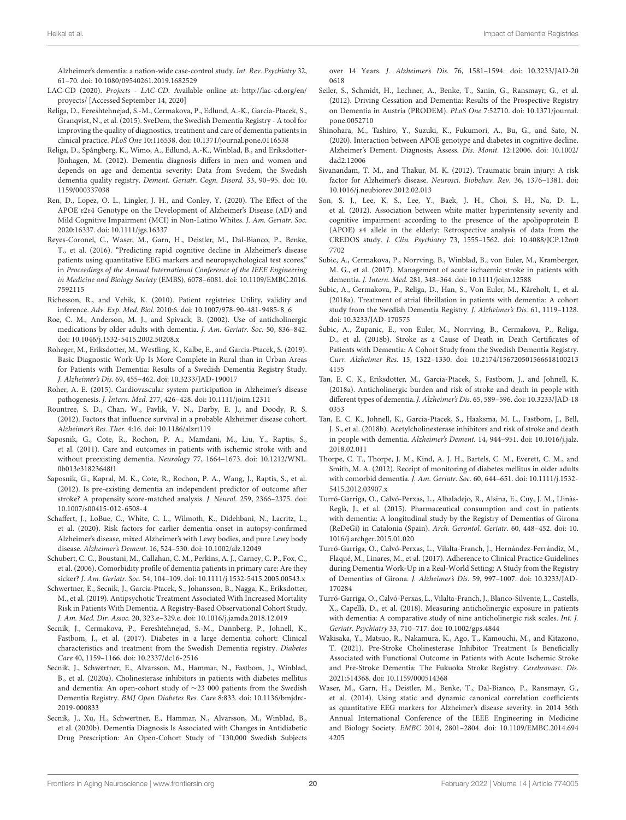<span id="page-20-42"></span><span id="page-20-27"></span>Alzheimer's dementia: a nation-wide case-control study. Int. Rev. Psychiatry 32, 61–70. [doi: 10.1080/09540261.2019.1682529](https://doi.org/10.1080/09540261.2019.1682529)

- <span id="page-20-3"></span>LAC-CD (2020). Projects - LAC-CD. Available online at: [http://lac-cd.org/en/](http://lac-cd.org/en/proyects/) [proyects/](http://lac-cd.org/en/proyects/) [Accessed September 14, 2020]
- <span id="page-20-2"></span>Religa, D., Fereshtehnejad, S.-M., Cermakova, P., Edlund, A.-K., Garcia-Ptacek, S., Granqvist, N., et al. (2015). SveDem, the Swedish Dementia Registry - A tool for improving the quality of diagnostics, treatment and care of dementia patients in clinical practice. PLoS One 10:116538. [doi: 10.1371/journal.pone.0116538](https://doi.org/10.1371/journal.pone.0116538)
- <span id="page-20-6"></span>Religa, D., Spångberg, K., Wimo, A., Edlund, A.-K., Winblad, B., and Eriksdotter-Jönhagen, M. (2012). Dementia diagnosis differs in men and women and depends on age and dementia severity: Data from Svedem, the Swedish dementia quality registry. Dement. Geriatr. Cogn. Disord. 33, 90–95. [doi: 10.](https://doi.org/10.1159/000337038) [1159/000337038](https://doi.org/10.1159/000337038)
- <span id="page-20-10"></span>Ren, D., Lopez, O. L., Lingler, J. H., and Conley, Y. (2020). The Effect of the APOE ε2ε4 Genotype on the Development of Alzheimer's Disease (AD) and Mild Cognitive Impairment (MCI) in Non-Latino Whites. J. Am. Geriatr. Soc. 2020:16337. [doi: 10.1111/jgs.16337](https://doi.org/10.1111/jgs.16337)
- <span id="page-20-19"></span>Reyes-Coronel, C., Waser, M., Garn, H., Deistler, M., Dal-Bianco, P., Benke, T., et al. (2016). "Predicting rapid cognitive decline in Alzheimer's disease patients using quantitative EEG markers and neuropsychological test scores," in Proceedings of the Annual International Conference of the IEEE Engineering in Medicine and Biology Society (EMBS), 6078–6081. [doi: 10.1109/EMBC.2016.](https://doi.org/10.1109/EMBC.2016.7592115) [7592115](https://doi.org/10.1109/EMBC.2016.7592115)
- <span id="page-20-15"></span><span id="page-20-0"></span>Richesson, R., and Vehik, K. (2010). Patient registries: Utility, validity and inference. Adv. Exp. Med. Biol. 2010:6. [doi: 10.1007/978-90-481-9485-8\\_6](https://doi.org/10.1007/978-90-481-9485-8_6)
- <span id="page-20-32"></span>Roe, C. M., Anderson, M. J., and Spivack, B. (2002). Use of anticholinergic medications by older adults with dementia. J. Am. Geriatr. Soc. 50, 836–842. [doi: 10.1046/j.1532-5415.2002.50208.x](https://doi.org/10.1046/j.1532-5415.2002.50208.x)
- <span id="page-20-7"></span>Roheger, M., Eriksdotter, M., Westling, K., Kalbe, E., and Garcia-Ptacek, S. (2019). Basic Diagnostic Work-Up Is More Complete in Rural than in Urban Areas for Patients with Dementia: Results of a Swedish Dementia Registry Study. J. Alzheimer's Dis. 69, 455–462. [doi: 10.3233/JAD-190017](https://doi.org/10.3233/JAD-190017)
- <span id="page-20-46"></span>Roher, A. E. (2015). Cardiovascular system participation in Alzheimer's disease pathogenesis. J. Intern. Med. 277, 426–428. [doi: 10.1111/joim.12311](https://doi.org/10.1111/joim.12311)
- <span id="page-20-8"></span>Rountree, S. D., Chan, W., Pavlik, V. N., Darby, E. J., and Doody, R. S. (2012). Factors that influence survival in a probable Alzheimer disease cohort. Alzheimer's Res. Ther. 4:16. [doi: 10.1186/alzrt119](https://doi.org/10.1186/alzrt119)
- <span id="page-20-49"></span>Saposnik, G., Cote, R., Rochon, P. A., Mamdani, M., Liu, Y., Raptis, S., et al. (2011). Care and outcomes in patients with ischemic stroke with and without preexisting dementia. Neurology 77, 1664–1673. [doi: 10.1212/WNL.](https://doi.org/10.1212/WNL.0b013e31823648f1) [0b013e31823648f1](https://doi.org/10.1212/WNL.0b013e31823648f1)
- <span id="page-20-50"></span>Saposnik, G., Kapral, M. K., Cote, R., Rochon, P. A., Wang, J., Raptis, S., et al. (2012). Is pre-existing dementia an independent predictor of outcome after stroke? A propensity score-matched analysis. J. Neurol. 259, 2366–2375. [doi:](https://doi.org/10.1007/s00415-012-6508-4) [10.1007/s00415-012-6508-4](https://doi.org/10.1007/s00415-012-6508-4)
- <span id="page-20-9"></span>Schaffert, J., LoBue, C., White, C. L., Wilmoth, K., Didehbani, N., Lacritz, L., et al. (2020). Risk factors for earlier dementia onset in autopsy-confirmed Alzheimer's disease, mixed Alzheimer's with Lewy bodies, and pure Lewy body disease. Alzheimer's Dement. 16, 524–530. [doi: 10.1002/alz.12049](https://doi.org/10.1002/alz.12049)
- <span id="page-20-36"></span>Schubert, C. C., Boustani, M., Callahan, C. M., Perkins, A. J., Carney, C. P., Fox, C., et al. (2006). Comorbidity profile of dementia patients in primary care: Are they sicker? J. Am. Geriatr. Soc. 54, 104–109. [doi: 10.1111/j.1532-5415.2005.00543.x](https://doi.org/10.1111/j.1532-5415.2005.00543.x)
- <span id="page-20-31"></span>Schwertner, E., Secnik, J., Garcia-Ptacek, S., Johansson, B., Nagga, K., Eriksdotter, M., et al. (2019). Antipsychotic Treatment Associated With Increased Mortality Risk in Patients With Dementia. A Registry-Based Observational Cohort Study. J. Am. Med. Dir. Assoc. 20, 323.e–329.e. [doi: 10.1016/j.jamda.2018.12.019](https://doi.org/10.1016/j.jamda.2018.12.019)
- <span id="page-20-43"></span>Secnik, J., Cermakova, P., Fereshtehnejad, S.-M., Dannberg, P., Johnell, K., Fastbom, J., et al. (2017). Diabetes in a large dementia cohort: Clinical characteristics and treatment from the Swedish Dementia registry. Diabetes Care 40, 1159–1166. [doi: 10.2337/dc16-2516](https://doi.org/10.2337/dc16-2516)
- <span id="page-20-34"></span>Secnik, J., Schwertner, E., Alvarsson, M., Hammar, N., Fastbom, J., Winblad, B., et al. (2020a). Cholinesterase inhibitors in patients with diabetes mellitus and dementia: An open-cohort study of ∼23 000 patients from the Swedish Dementia Registry. BMJ Open Diabetes Res. Care 8:833. [doi: 10.1136/bmjdrc-](https://doi.org/10.1136/bmjdrc-2019-000833)[2019-000833](https://doi.org/10.1136/bmjdrc-2019-000833)
- <span id="page-20-44"></span>Secnik, J., Xu, H., Schwertner, E., Hammar, N., Alvarsson, M., Winblad, B., et al. (2020b). Dementia Diagnosis Is Associated with Changes in Antidiabetic Drug Prescription: An Open-Cohort Study of ˜130,000 Swedish Subjects

<span id="page-20-25"></span><span id="page-20-16"></span><span id="page-20-13"></span><span id="page-20-12"></span><span id="page-20-5"></span><span id="page-20-4"></span>over 14 Years. J. Alzheimer's Dis. 76, 1581–1594. [doi: 10.3233/JAD-20](https://doi.org/10.3233/JAD-200618) [0618](https://doi.org/10.3233/JAD-200618)

- <span id="page-20-38"></span><span id="page-20-1"></span>Seiler, S., Schmidt, H., Lechner, A., Benke, T., Sanin, G., Ransmayr, G., et al. (2012). Driving Cessation and Dementia: Results of the Prospective Registry on Dementia in Austria (PRODEM). PLoS One 7:52710. [doi: 10.1371/journal.](https://doi.org/10.1371/journal.pone.0052710) [pone.0052710](https://doi.org/10.1371/journal.pone.0052710)
- <span id="page-20-45"></span>Shinohara, M., Tashiro, Y., Suzuki, K., Fukumori, A., Bu, G., and Sato, N. (2020). Interaction between APOE genotype and diabetes in cognitive decline. Alzheimer's Dement. Diagnosis, Assess. Dis. Monit. 12:12006. [doi: 10.1002/](https://doi.org/10.1002/dad2.12006) [dad2.12006](https://doi.org/10.1002/dad2.12006)
- <span id="page-20-17"></span>Sivanandam, T. M., and Thakur, M. K. (2012). Traumatic brain injury: A risk factor for Alzheimer's disease. Neurosci. Biobehav. Rev. 36, 1376–1381. [doi:](https://doi.org/10.1016/j.neubiorev.2012.02.013) [10.1016/j.neubiorev.2012.02.013](https://doi.org/10.1016/j.neubiorev.2012.02.013)
- <span id="page-20-11"></span>Son, S. J., Lee, K. S., Lee, Y., Baek, J. H., Choi, S. H., Na, D. L., et al. (2012). Association between white matter hyperintensity severity and cognitive impairment according to the presence of the apolipoprotein E (APOE) ε4 allele in the elderly: Retrospective analysis of data from the CREDOS study. J. Clin. Psychiatry 73, 1555–1562. [doi: 10.4088/JCP.12m0](https://doi.org/10.4088/JCP.12m07702) [7702](https://doi.org/10.4088/JCP.12m07702)
- <span id="page-20-48"></span>Subic, A., Cermakova, P., Norrving, B., Winblad, B., von Euler, M., Kramberger, M. G., et al. (2017). Management of acute ischaemic stroke in patients with dementia. J. Intern. Med. 281, 348–364. [doi: 10.1111/joim.12588](https://doi.org/10.1111/joim.12588)
- <span id="page-20-47"></span><span id="page-20-41"></span><span id="page-20-40"></span><span id="page-20-39"></span><span id="page-20-26"></span><span id="page-20-24"></span><span id="page-20-23"></span><span id="page-20-22"></span><span id="page-20-21"></span><span id="page-20-14"></span>Subic, A., Cermakova, P., Religa, D., Han, S., Von Euler, M., Kåreholt, I., et al. (2018a). Treatment of atrial fibrillation in patients with dementia: A cohort study from the Swedish Dementia Registry. J. Alzheimer's Dis. 61, 1119–1128. [doi: 10.3233/JAD-170575](https://doi.org/10.3233/JAD-170575)
- <span id="page-20-51"></span>Subic, A., Zupanic, E., von Euler, M., Norrving, B., Cermakova, P., Religa, D., et al. (2018b). Stroke as a Cause of Death in Death Certificates of Patients with Dementia: A Cohort Study from the Swedish Dementia Registry. Curr. Alzheimer Res. 15, 1322–1330. [doi: 10.2174/156720501566618100213](https://doi.org/10.2174/1567205015666181002134155) [4155](https://doi.org/10.2174/1567205015666181002134155)
- <span id="page-20-29"></span>Tan, E. C. K., Eriksdotter, M., Garcia-Ptacek, S., Fastbom, J., and Johnell, K. (2018a). Anticholinergic burden and risk of stroke and death in people with different types of dementia. J. Alzheimer's Dis. 65, 589–596. [doi: 10.3233/JAD-18](https://doi.org/10.3233/JAD-180353) [0353](https://doi.org/10.3233/JAD-180353)
- <span id="page-20-30"></span>Tan, E. C. K., Johnell, K., Garcia-Ptacek, S., Haaksma, M. L., Fastbom, J., Bell, J. S., et al. (2018b). Acetylcholinesterase inhibitors and risk of stroke and death in people with dementia. Alzheimer's Dement. 14, 944–951. [doi: 10.1016/j.jalz.](https://doi.org/10.1016/j.jalz.2018.02.011) [2018.02.011](https://doi.org/10.1016/j.jalz.2018.02.011)
- <span id="page-20-37"></span>Thorpe, C. T., Thorpe, J. M., Kind, A. J. H., Bartels, C. M., Everett, C. M., and Smith, M. A. (2012). Receipt of monitoring of diabetes mellitus in older adults with comorbid dementia. J. Am. Geriatr. Soc. 60, 644–651. [doi: 10.1111/j.1532-](https://doi.org/10.1111/j.1532-5415.2012.03907.x) [5415.2012.03907.x](https://doi.org/10.1111/j.1532-5415.2012.03907.x)
- <span id="page-20-20"></span>Turró-Garriga, O., Calvó-Perxas, L., Albaladejo, R., Alsina, E., Cuy, J. M., Llinàs-Reglà, J., et al. (2015). Pharmaceutical consumption and cost in patients with dementia: A longitudinal study by the Registry of Dementias of Girona (ReDeGi) in Catalonia (Spain). Arch. Gerontol. Geriatr. 60, 448–452. [doi: 10.](https://doi.org/10.1016/j.archger.2015.01.020) [1016/j.archger.2015.01.020](https://doi.org/10.1016/j.archger.2015.01.020)
- <span id="page-20-28"></span>Turró-Garriga, O., Calvó-Perxas, L., Vilalta-Franch, J., Hernández-Ferrándiz, M., Flaqué, M., Linares, M., et al. (2017). Adherence to Clinical Practice Guidelines during Dementia Work-Up in a Real-World Setting: A Study from the Registry of Dementias of Girona. J. Alzheimer's Dis. 59, 997–1007. [doi: 10.3233/JAD-](https://doi.org/10.3233/JAD-170284)[170284](https://doi.org/10.3233/JAD-170284)
- <span id="page-20-33"></span>Turró-Garriga, O., Calvó-Perxas, L., Vilalta-Franch, J., Blanco-Silvente, L., Castells, X., Capellà, D., et al. (2018). Measuring anticholinergic exposure in patients with dementia: A comparative study of nine anticholinergic risk scales. Int. J. Geriatr. Psychiatry 33, 710–717. [doi: 10.1002/gps.4844](https://doi.org/10.1002/gps.4844)
- <span id="page-20-35"></span>Wakisaka, Y., Matsuo, R., Nakamura, K., Ago, T., Kamouchi, M., and Kitazono, T. (2021). Pre-Stroke Cholinesterase Inhibitor Treatment Is Beneficially Associated with Functional Outcome in Patients with Acute Ischemic Stroke and Pre-Stroke Dementia: The Fukuoka Stroke Registry. Cerebrovasc. Dis. 2021:514368. [doi: 10.1159/000514368](https://doi.org/10.1159/000514368)
- <span id="page-20-18"></span>Waser, M., Garn, H., Deistler, M., Benke, T., Dal-Bianco, P., Ransmayr, G., et al. (2014). Using static and dynamic canonical correlation coefficients as quantitative EEG markers for Alzheimer's disease severity. in 2014 36th Annual International Conference of the IEEE Engineering in Medicine and Biology Society. EMBC 2014, 2801–2804. [doi: 10.1109/EMBC.2014.694](https://doi.org/10.1109/EMBC.2014.6944205) [4205](https://doi.org/10.1109/EMBC.2014.6944205)